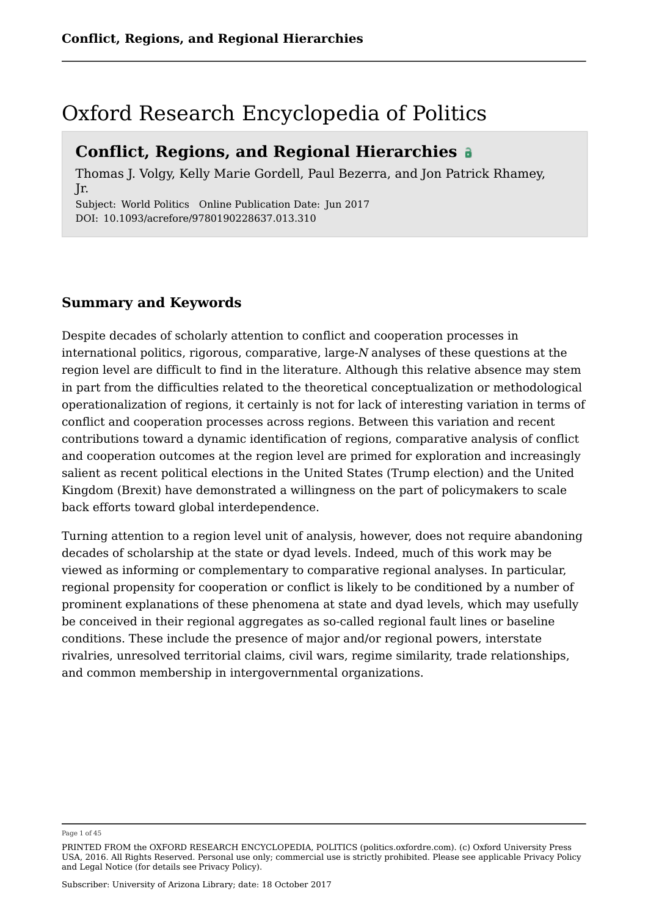### Oxford Research Encyclopedia of Politics

### **Conflict, Regions, and Regional Hierarchies**

Thomas J. Volgy, Kelly Marie Gordell, Paul Bezerra, and Jon Patrick Rhamey, Jr.

Subject: World Politics Online Publication Date: Jun 2017 DOI: 10.1093/acrefore/9780190228637.013.310

#### **Summary and Keywords**

Despite decades of scholarly attention to conflict and cooperation processes in international politics, rigorous, comparative, large-*N* analyses of these questions at the region level are difficult to find in the literature. Although this relative absence may stem in part from the difficulties related to the theoretical conceptualization or methodological operationalization of regions, it certainly is not for lack of interesting variation in terms of conflict and cooperation processes across regions. Between this variation and recent contributions toward a dynamic identification of regions, comparative analysis of conflict and cooperation outcomes at the region level are primed for exploration and increasingly salient as recent political elections in the United States (Trump election) and the United Kingdom (Brexit) have demonstrated a willingness on the part of policymakers to scale back efforts toward global interdependence.

Turning attention to a region level unit of analysis, however, does not require abandoning decades of scholarship at the state or dyad levels. Indeed, much of this work may be viewed as informing or complementary to comparative regional analyses. In particular, regional propensity for cooperation or conflict is likely to be conditioned by a number of prominent explanations of these phenomena at state and dyad levels, which may usefully be conceived in their regional aggregates as so-called regional fault lines or baseline conditions. These include the presence of major and/or regional powers, interstate rivalries, unresolved territorial claims, civil wars, regime similarity, trade relationships, and common membership in intergovernmental organizations.

Page 1 of 45

PRINTED FROM the OXFORD RESEARCH ENCYCLOPEDIA, POLITICS (politics.oxfordre.com). (c) Oxford University Press USA, 2016. All Rights Reserved. Personal use only; commercial use is strictly prohibited. Please see applicable Privacy Policy and Legal Notice (for details see Privacy Policy).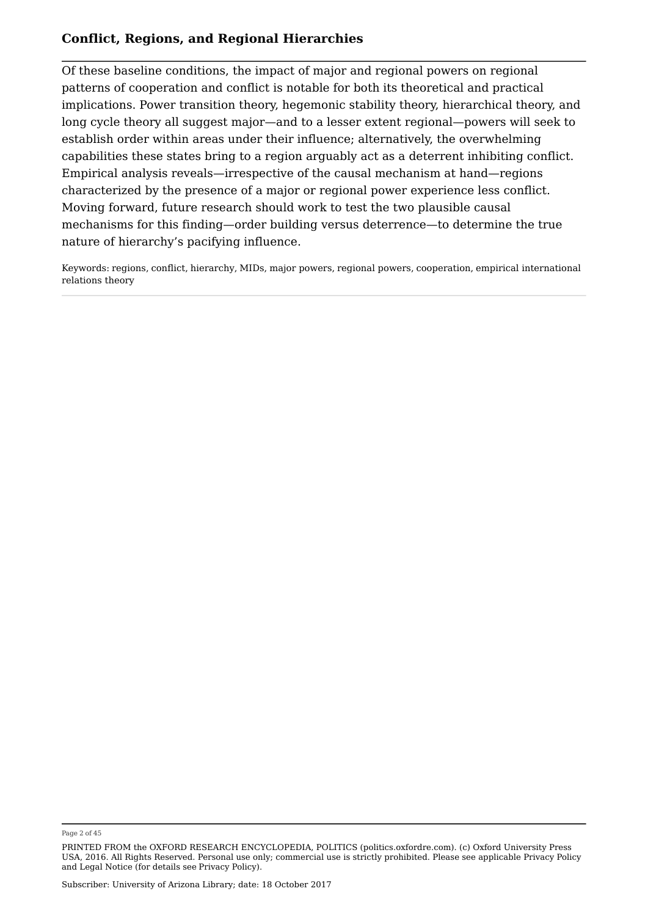Of these baseline conditions, the impact of major and regional powers on regional patterns of cooperation and conflict is notable for both its theoretical and practical implications. Power transition theory, hegemonic stability theory, hierarchical theory, and long cycle theory all suggest major—and to a lesser extent regional—powers will seek to establish order within areas under their influence; alternatively, the overwhelming capabilities these states bring to a region arguably act as a deterrent inhibiting conflict. Empirical analysis reveals—irrespective of the causal mechanism at hand—regions characterized by the presence of a major or regional power experience less conflict. Moving forward, future research should work to test the two plausible causal mechanisms for this finding—order building versus deterrence—to determine the true nature of hierarchy's pacifying influence.

Keywords: regions, conflict, hierarchy, MIDs, major powers, regional powers, cooperation, empirical international relations theory

Page 2 of 45

PRINTED FROM the OXFORD RESEARCH ENCYCLOPEDIA, POLITICS (politics.oxfordre.com). (c) Oxford University Press USA, 2016. All Rights Reserved. Personal use only; commercial use is strictly prohibited. Please see applicable Privacy Policy and Legal Notice (for details see Privacy Policy).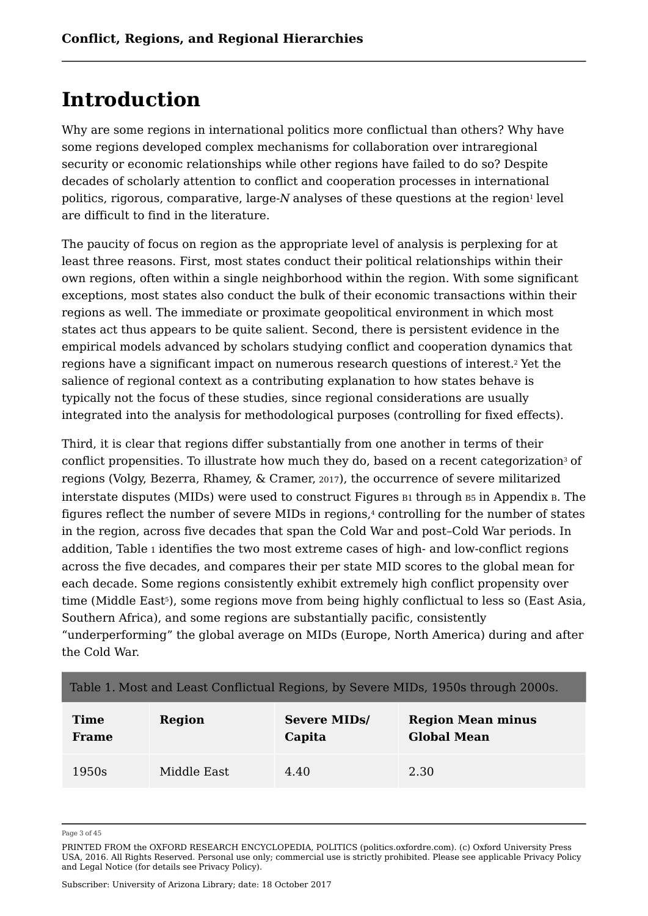# **Introduction**

Why are some regions in international politics more conflictual than others? Why have some regions developed complex mechanisms for collaboration over intraregional security or economic relationships while other regions have failed to do so? Despite decades of scholarly attention to conflict and cooperation processes in international politics, rigorous, comparative, large-N analyses of these questions at the region<sup>1</sup> level are difficult to find in the literature.

The paucity of focus on region as the appropriate level of analysis is perplexing for at least three reasons. First, most states conduct their political relationships within their own regions, often within a single neighborhood within the region. With some significant exceptions, most states also conduct the bulk of their economic transactions within their regions as well. The immediate or proximate geopolitical environment in which most states act thus appears to be quite salient. Second, there is persistent evidence in the empirical models advanced by scholars studying conflict and cooperation dynamics that regions have a significant impact on numerous research questions of interest.<sup>2</sup> Yet the salience of regional context as a contributing explanation to how states behave is typically not the focus of these studies, since regional considerations are usually integrated into the analysis for methodological purposes (controlling for fixed effects).

Third, it is clear that regions differ substantially from one another in terms of their conflict propensities. To illustrate how much they do, based on a recent categorization $^{\tiny 3}$  of regions (Volgy, Bezerra, Rhamey, & Cramer, 2017), the occurrence of severe militarized interstate disputes (MIDs) were used to construct Figures B1 through B5 in Appendix B. The figures reflect the number of severe MIDs in regions, $\scriptstyle\rm I$  controlling for the number of states in the region, across five decades that span the Cold War and post–Cold War periods. In addition, Table 1 identifies the two most extreme cases of high- and low-conflict regions across the five decades, and compares their per state MID scores to the global mean for each decade. Some regions consistently exhibit extremely high conflict propensity over time (Middle East5), some regions move from being highly conflictual to less so (East Asia, Southern Africa), and some regions are substantially pacific, consistently "underperforming" the global average on MIDs (Europe, North America) during and after the Cold War.

#### Table 1. Most and Least Conflictual Regions, by Severe MIDs, 1950s through 2000s.

| <b>Time</b> | <b>Region</b> | <b>Severe MIDs/</b> | <b>Region Mean minus</b> |
|-------------|---------------|---------------------|--------------------------|
| Frame       |               | Capita              | <b>Global Mean</b>       |
| 1950s       | Middle East   | 4.40                | 2.30                     |

Page 3 of 45

PRINTED FROM the OXFORD RESEARCH ENCYCLOPEDIA, POLITICS (politics.oxfordre.com). (c) Oxford University Press USA, 2016. All Rights Reserved. Personal use only; commercial use is strictly prohibited. Please see applicable Privacy Policy and Legal Notice (for details see Privacy Policy).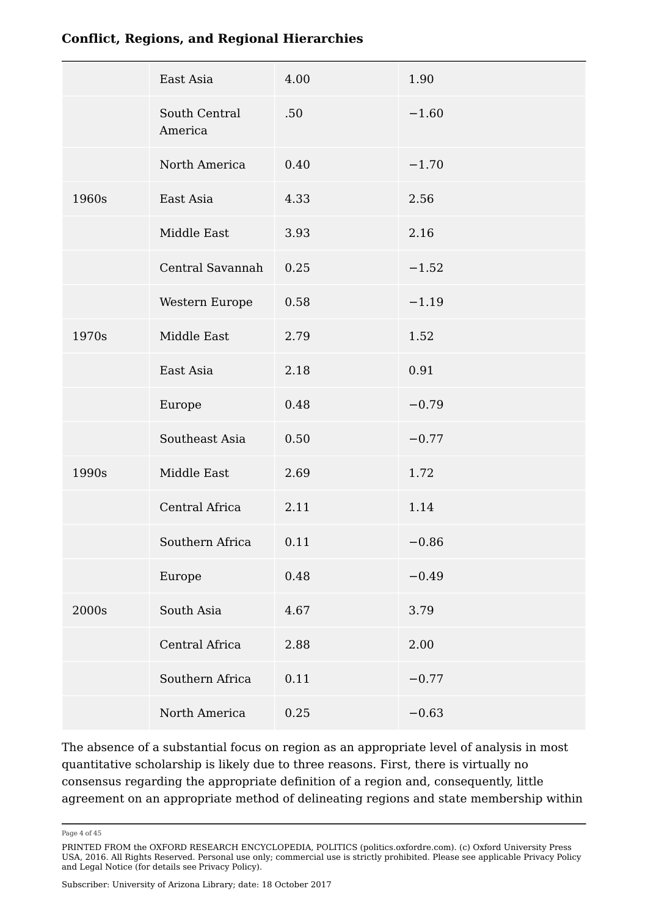|       | East Asia                | 4.00 | 1.90    |
|-------|--------------------------|------|---------|
|       | South Central<br>America | .50  | $-1.60$ |
|       | North America            | 0.40 | $-1.70$ |
| 1960s | East Asia                | 4.33 | 2.56    |
|       | Middle East              | 3.93 | 2.16    |
|       | Central Savannah         | 0.25 | $-1.52$ |
|       | Western Europe           | 0.58 | $-1.19$ |
| 1970s | Middle East              | 2.79 | 1.52    |
|       | East Asia                | 2.18 | 0.91    |
|       | Europe                   | 0.48 | $-0.79$ |
|       | Southeast Asia           | 0.50 | $-0.77$ |
| 1990s | Middle East              | 2.69 | 1.72    |
|       | Central Africa           | 2.11 | 1.14    |
|       | Southern Africa          | 0.11 | $-0.86$ |
|       | Europe                   | 0.48 | $-0.49$ |
| 2000s | South Asia               | 4.67 | 3.79    |
|       | Central Africa           | 2.88 | 2.00    |
|       | Southern Africa          | 0.11 | $-0.77$ |
|       | North America            | 0.25 | $-0.63$ |

The absence of a substantial focus on region as an appropriate level of analysis in most quantitative scholarship is likely due to three reasons. First, there is virtually no consensus regarding the appropriate definition of a region and, consequently, little agreement on an appropriate method of delineating regions and state membership within

Page 4 of 45

PRINTED FROM the OXFORD RESEARCH ENCYCLOPEDIA, POLITICS (politics.oxfordre.com). (c) Oxford University Press USA, 2016. All Rights Reserved. Personal use only; commercial use is strictly prohibited. Please see applicable Privacy Policy and Legal Notice (for details see Privacy Policy).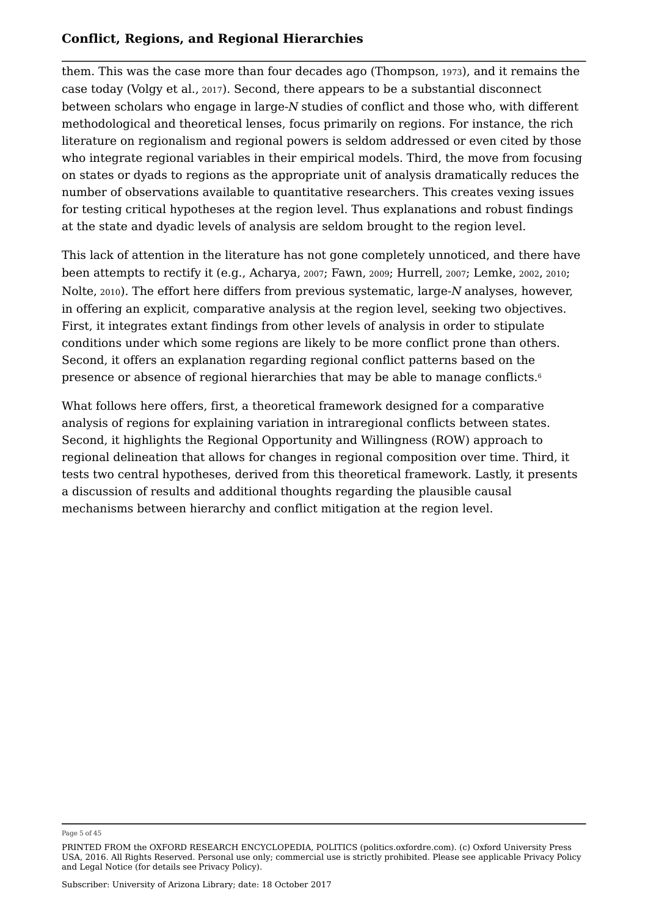them. This was the case more than four decades ago (Thompson, <sup>1973</sup>), and it remains the case today (Volgy et al., <sup>2017</sup>). Second, there appears to be a substantial disconnect between scholars who engage in large-*N* studies of conflict and those who, with different methodological and theoretical lenses, focus primarily on regions. For instance, the rich literature on regionalism and regional powers is seldom addressed or even cited by those who integrate regional variables in their empirical models. Third, the move from focusing on states or dyads to regions as the appropriate unit of analysis dramatically reduces the number of observations available to quantitative researchers. This creates vexing issues for testing critical hypotheses at the region level. Thus explanations and robust findings at the state and dyadic levels of analysis are seldom brought to the region level.

This lack of attention in the literature has not gone completely unnoticed, and there have been attempts to rectify it (e.g., Acharya, <sup>2007</sup>; Fawn, <sup>2009</sup>; Hurrell, <sup>2007</sup>; Lemke, <sup>2002</sup>, <sup>2010</sup>; Nolte, <sup>2010</sup>). The effort here differs from previous systematic, large-*N* analyses, however, in offering an explicit, comparative analysis at the region level, seeking two objectives. First, it integrates extant findings from other levels of analysis in order to stipulate conditions under which some regions are likely to be more conflict prone than others. Second, it offers an explanation regarding regional conflict patterns based on the presence or absence of regional hierarchies that may be able to manage conflicts. 6

What follows here offers, first, a theoretical framework designed for a comparative analysis of regions for explaining variation in intraregional conflicts between states. Second, it highlights the Regional Opportunity and Willingness (ROW) approach to regional delineation that allows for changes in regional composition over time. Third, it tests two central hypotheses, derived from this theoretical framework. Lastly, it presents a discussion of results and additional thoughts regarding the plausible causal mechanisms between hierarchy and conflict mitigation at the region level.

Page 5 of 45

PRINTED FROM the OXFORD RESEARCH ENCYCLOPEDIA, POLITICS (politics.oxfordre.com). (c) Oxford University Press USA, 2016. All Rights Reserved. Personal use only; commercial use is strictly prohibited. Please see applicable Privacy Policy and Legal Notice (for details see Privacy Policy).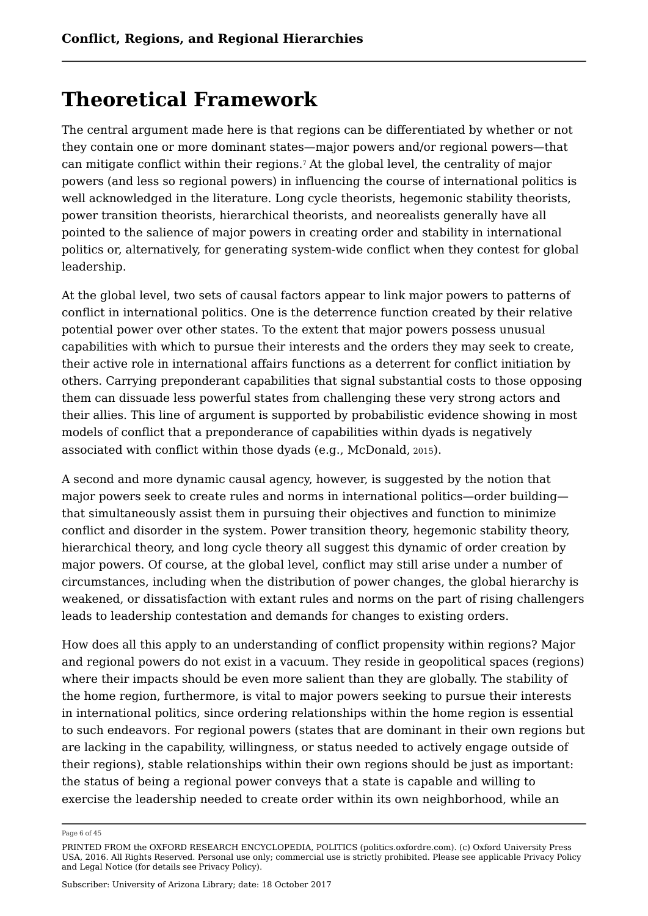### **Theoretical Framework**

The central argument made here is that regions can be differentiated by whether or not they contain one or more dominant states—major powers and/or regional powers—that can mitigate conflict within their regions.<sup>7</sup> At the global level, the centrality of major powers (and less so regional powers) in influencing the course of international politics is well acknowledged in the literature. Long cycle theorists, hegemonic stability theorists, power transition theorists, hierarchical theorists, and neorealists generally have all pointed to the salience of major powers in creating order and stability in international politics or, alternatively, for generating system-wide conflict when they contest for global leadership.

At the global level, two sets of causal factors appear to link major powers to patterns of conflict in international politics. One is the deterrence function created by their relative potential power over other states. To the extent that major powers possess unusual capabilities with which to pursue their interests and the orders they may seek to create, their active role in international affairs functions as a deterrent for conflict initiation by others. Carrying preponderant capabilities that signal substantial costs to those opposing them can dissuade less powerful states from challenging these very strong actors and their allies. This line of argument is supported by probabilistic evidence showing in most models of conflict that a preponderance of capabilities within dyads is negatively associated with conflict within those dyads (e.g., McDonald, 2015).

A second and more dynamic causal agency, however, is suggested by the notion that major powers seek to create rules and norms in international politics—order building that simultaneously assist them in pursuing their objectives and function to minimize conflict and disorder in the system. Power transition theory, hegemonic stability theory, hierarchical theory, and long cycle theory all suggest this dynamic of order creation by major powers. Of course, at the global level, conflict may still arise under a number of circumstances, including when the distribution of power changes, the global hierarchy is weakened, or dissatisfaction with extant rules and norms on the part of rising challengers leads to leadership contestation and demands for changes to existing orders.

How does all this apply to an understanding of conflict propensity within regions? Major and regional powers do not exist in a vacuum. They reside in geopolitical spaces (regions) where their impacts should be even more salient than they are globally. The stability of the home region, furthermore, is vital to major powers seeking to pursue their interests in international politics, since ordering relationships within the home region is essential to such endeavors. For regional powers (states that are dominant in their own regions but are lacking in the capability, willingness, or status needed to actively engage outside of their regions), stable relationships within their own regions should be just as important: the status of being a regional power conveys that a state is capable and willing to exercise the leadership needed to create order within its own neighborhood, while an

Page 6 of 45

PRINTED FROM the OXFORD RESEARCH ENCYCLOPEDIA, POLITICS (politics.oxfordre.com). (c) Oxford University Press USA, 2016. All Rights Reserved. Personal use only; commercial use is strictly prohibited. Please see applicable Privacy Policy and Legal Notice (for details see Privacy Policy).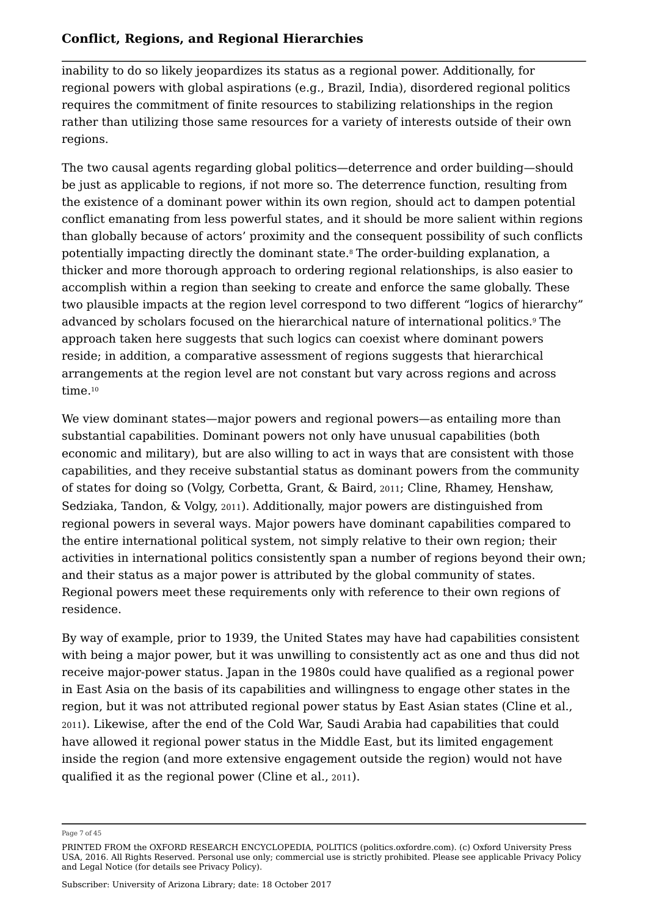inability to do so likely jeopardizes its status as a regional power. Additionally, for regional powers with global aspirations (e.g., Brazil, India), disordered regional politics requires the commitment of finite resources to stabilizing relationships in the region rather than utilizing those same resources for a variety of interests outside of their own regions.

The two causal agents regarding global politics—deterrence and order building—should be just as applicable to regions, if not more so. The deterrence function, resulting from the existence of a dominant power within its own region, should act to dampen potential conflict emanating from less powerful states, and it should be more salient within regions than globally because of actors' proximity and the consequent possibility of such conflicts potentially impacting directly the dominant state.8 The order-building explanation, a thicker and more thorough approach to ordering regional relationships, is also easier to accomplish within a region than seeking to create and enforce the same globally. These two plausible impacts at the region level correspond to two different "logics of hierarchy" advanced by scholars focused on the hierarchical nature of international politics.º The approach taken here suggests that such logics can coexist where dominant powers reside; in addition, a comparative assessment of regions suggests that hierarchical arrangements at the region level are not constant but vary across regions and across time. 10

We view dominant states—major powers and regional powers—as entailing more than substantial capabilities. Dominant powers not only have unusual capabilities (both economic and military), but are also willing to act in ways that are consistent with those capabilities, and they receive substantial status as dominant powers from the community of states for doing so (Volgy, Corbetta, Grant, & Baird, 2011; Cline, Rhamey, Henshaw, Sedziaka, Tandon, & Volgy, 2011). Additionally, major powers are distinguished from regional powers in several ways. Major powers have dominant capabilities compared to the entire international political system, not simply relative to their own region; their activities in international politics consistently span a number of regions beyond their own; and their status as a major power is attributed by the global community of states. Regional powers meet these requirements only with reference to their own regions of residence.

By way of example, prior to 1939, the United States may have had capabilities consistent with being a major power, but it was unwilling to consistently act as one and thus did not receive major-power status. Japan in the 1980s could have qualified as a regional power in East Asia on the basis of its capabilities and willingness to engage other states in the region, but it was not attributed regional power status by East Asian states (Cline et al., <sup>2011</sup>). Likewise, after the end of the Cold War, Saudi Arabia had capabilities that could have allowed it regional power status in the Middle East, but its limited engagement inside the region (and more extensive engagement outside the region) would not have qualified it as the regional power (Cline et al., <sup>2011</sup>).

Page 7 of 45

PRINTED FROM the OXFORD RESEARCH ENCYCLOPEDIA, POLITICS (politics.oxfordre.com). (c) Oxford University Press USA, 2016. All Rights Reserved. Personal use only; commercial use is strictly prohibited. Please see applicable Privacy Policy and Legal Notice (for details see Privacy Policy).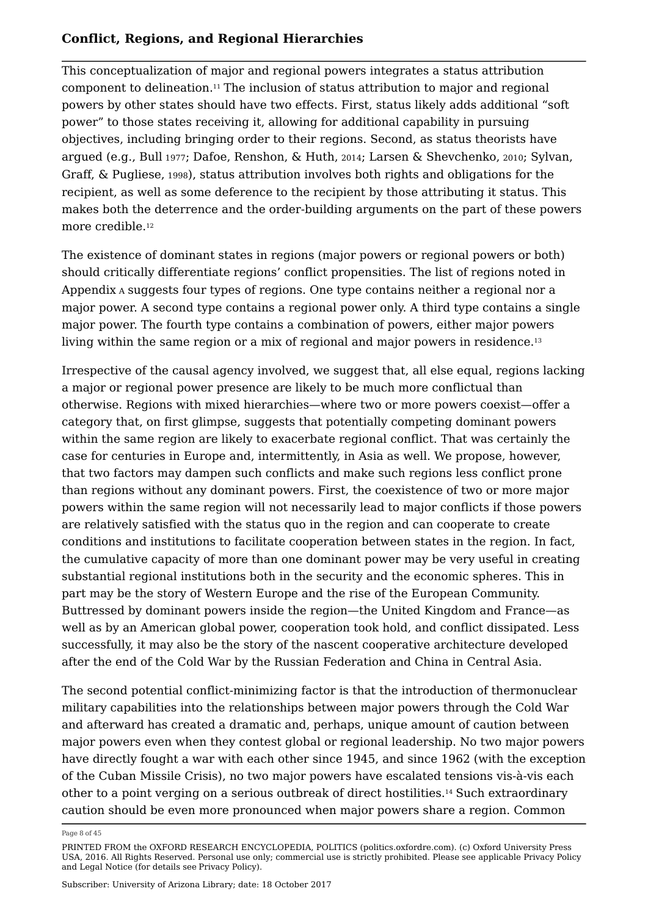This conceptualization of major and regional powers integrates a status attribution component to delineation.11 The inclusion of status attribution to major and regional powers by other states should have two effects. First, status likely adds additional "soft power" to those states receiving it, allowing for additional capability in pursuing objectives, including bringing order to their regions. Second, as status theorists have argued (e.g., Bull <sup>1977</sup>; Dafoe, Renshon, & Huth, <sup>2014</sup>; Larsen & Shevchenko, <sup>2010</sup>; Sylvan, Graff, & Pugliese, <sup>1998</sup>), status attribution involves both rights and obligations for the recipient, as well as some deference to the recipient by those attributing it status. This makes both the deterrence and the order-building arguments on the part of these powers more credible. 12

The existence of dominant states in regions (major powers or regional powers or both) should critically differentiate regions' conflict propensities. The list of regions noted in Appendix <sup>A</sup> suggests four types of regions. One type contains neither a regional nor a major power. A second type contains a regional power only. A third type contains a single major power. The fourth type contains a combination of powers, either major powers living within the same region or a mix of regional and major powers in residence.<sup>13</sup> 13

Irrespective of the causal agency involved, we suggest that, all else equal, regions lacking a major or regional power presence are likely to be much more conflictual than otherwise. Regions with mixed hierarchies—where two or more powers coexist—offer a category that, on first glimpse, suggests that potentially competing dominant powers within the same region are likely to exacerbate regional conflict. That was certainly the case for centuries in Europe and, intermittently, in Asia as well. We propose, however, that two factors may dampen such conflicts and make such regions less conflict prone than regions without any dominant powers. First, the coexistence of two or more major powers within the same region will not necessarily lead to major conflicts if those powers are relatively satisfied with the status quo in the region and can cooperate to create conditions and institutions to facilitate cooperation between states in the region. In fact, the cumulative capacity of more than one dominant power may be very useful in creating substantial regional institutions both in the security and the economic spheres. This in part may be the story of Western Europe and the rise of the European Community. Buttressed by dominant powers inside the region—the United Kingdom and France—as well as by an American global power, cooperation took hold, and conflict dissipated. Less successfully, it may also be the story of the nascent cooperative architecture developed after the end of the Cold War by the Russian Federation and China in Central Asia.

The second potential conflict-minimizing factor is that the introduction of thermonuclear military capabilities into the relationships between major powers through the Cold War and afterward has created a dramatic and, perhaps, unique amount of caution between major powers even when they contest global or regional leadership. No two major powers have directly fought a war with each other since 1945, and since 1962 (with the exception of the Cuban Missile Crisis), no two major powers have escalated tensions vis-à-vis each other to a point verging on a serious outbreak of direct hostilities.14 Such extraordinary caution should be even more pronounced when major powers share a region. Common

Page 8 of 45

PRINTED FROM the OXFORD RESEARCH ENCYCLOPEDIA, POLITICS (politics.oxfordre.com). (c) Oxford University Press USA, 2016. All Rights Reserved. Personal use only; commercial use is strictly prohibited. Please see applicable Privacy Policy and Legal Notice (for details see Privacy Policy).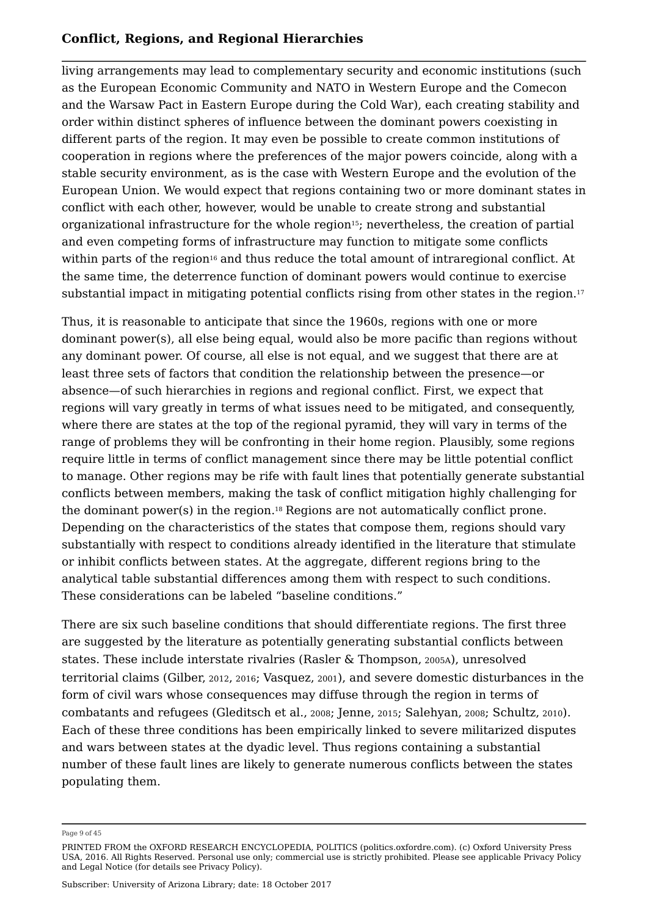living arrangements may lead to complementary security and economic institutions (such as the European Economic Community and NATO in Western Europe and the Comecon and the Warsaw Pact in Eastern Europe during the Cold War), each creating stability and order within distinct spheres of influence between the dominant powers coexisting in different parts of the region. It may even be possible to create common institutions of cooperation in regions where the preferences of the major powers coincide, along with a stable security environment, as is the case with Western Europe and the evolution of the European Union. We would expect that regions containing two or more dominant states in conflict with each other, however, would be unable to create strong and substantial organizational infrastructure for the whole region15; nevertheless, the creation of partial and even competing forms of infrastructure may function to mitigate some conflicts within parts of the region $^{\rm 16}$  and thus reduce the total amount of intraregional conflict. At the same time, the deterrence function of dominant powers would continue to exercise substantial impact in mitigating potential conflicts rising from other states in the region.<sup>17</sup> 17

Thus, it is reasonable to anticipate that since the 1960s, regions with one or more dominant power(s), all else being equal, would also be more pacific than regions without any dominant power. Of course, all else is not equal, and we suggest that there are at least three sets of factors that condition the relationship between the presence—or absence—of such hierarchies in regions and regional conflict. First, we expect that regions will vary greatly in terms of what issues need to be mitigated, and consequently, where there are states at the top of the regional pyramid, they will vary in terms of the range of problems they will be confronting in their home region. Plausibly, some regions require little in terms of conflict management since there may be little potential conflict to manage. Other regions may be rife with fault lines that potentially generate substantial conflicts between members, making the task of conflict mitigation highly challenging for the dominant power(s) in the region. $^{\scriptscriptstyle 18}$  Regions are not automatically conflict prone. Depending on the characteristics of the states that compose them, regions should vary substantially with respect to conditions already identified in the literature that stimulate or inhibit conflicts between states. At the aggregate, different regions bring to the analytical table substantial differences among them with respect to such conditions. These considerations can be labeled "baseline conditions."

There are six such baseline conditions that should differentiate regions. The first three are suggested by the literature as potentially generating substantial conflicts between states. These include interstate rivalries (Rasler & Thompson, 2005A), unresolved territorial claims (Gilber, <sup>2012</sup>, <sup>2016</sup>; Vasquez, <sup>2001</sup>), and severe domestic disturbances in the form of civil wars whose consequences may diffuse through the region in terms of combatants and refugees (Gleditsch et al., <sup>2008</sup>; Jenne, <sup>2015</sup>; Salehyan, <sup>2008</sup>; Schultz, <sup>2010</sup>). Each of these three conditions has been empirically linked to severe militarized disputes and wars between states at the dyadic level. Thus regions containing a substantial number of these fault lines are likely to generate numerous conflicts between the states populating them.

Page 9 of 45

PRINTED FROM the OXFORD RESEARCH ENCYCLOPEDIA, POLITICS (politics.oxfordre.com). (c) Oxford University Press USA, 2016. All Rights Reserved. Personal use only; commercial use is strictly prohibited. Please see applicable Privacy Policy and Legal Notice (for details see Privacy Policy).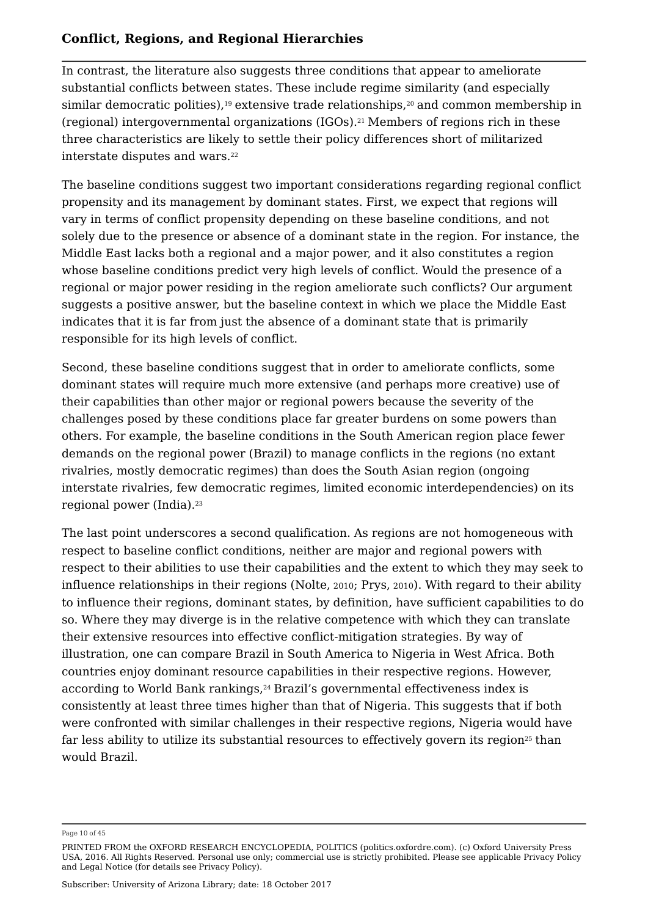In contrast, the literature also suggests three conditions that appear to ameliorate substantial conflicts between states. These include regime similarity (and especially similar democratic polities), $^{\rm 19}$  extensive trade relationships, $^{\rm 20}$  and common membership in (regional) intergovernmental organizations (IGOs). $^{21}$  Members of regions rich in these  $\,$ three characteristics are likely to settle their policy differences short of militarized interstate disputes and wars. 22

The baseline conditions suggest two important considerations regarding regional conflict propensity and its management by dominant states. First, we expect that regions will vary in terms of conflict propensity depending on these baseline conditions, and not solely due to the presence or absence of a dominant state in the region. For instance, the Middle East lacks both a regional and a major power, and it also constitutes a region whose baseline conditions predict very high levels of conflict. Would the presence of a regional or major power residing in the region ameliorate such conflicts? Our argument suggests a positive answer, but the baseline context in which we place the Middle East indicates that it is far from just the absence of a dominant state that is primarily responsible for its high levels of conflict.

Second, these baseline conditions suggest that in order to ameliorate conflicts, some dominant states will require much more extensive (and perhaps more creative) use of their capabilities than other major or regional powers because the severity of the challenges posed by these conditions place far greater burdens on some powers than others. For example, the baseline conditions in the South American region place fewer demands on the regional power (Brazil) to manage conflicts in the regions (no extant rivalries, mostly democratic regimes) than does the South Asian region (ongoing interstate rivalries, few democratic regimes, limited economic interdependencies) on its regional power (India). 23

The last point underscores a second qualification. As regions are not homogeneous with respect to baseline conflict conditions, neither are major and regional powers with respect to their abilities to use their capabilities and the extent to which they may seek to influence relationships in their regions (Nolte, 2010; Prys, 2010). With regard to their ability to influence their regions, dominant states, by definition, have sufficient capabilities to do so. Where they may diverge is in the relative competence with which they can translate their extensive resources into effective conflict-mitigation strategies. By way of illustration, one can compare Brazil in South America to Nigeria in West Africa. Both countries enjoy dominant resource capabilities in their respective regions. However, according to World Bank rankings, $^{\scriptscriptstyle 24}$  Brazil's governmental effectiveness index is consistently at least three times higher than that of Nigeria. This suggests that if both were confronted with similar challenges in their respective regions, Nigeria would have far less ability to utilize its substantial resources to effectively govern its region $^{\scriptscriptstyle 25}$  than would Brazil.

Page 10 of 45

PRINTED FROM the OXFORD RESEARCH ENCYCLOPEDIA, POLITICS (politics.oxfordre.com). (c) Oxford University Press USA, 2016. All Rights Reserved. Personal use only; commercial use is strictly prohibited. Please see applicable Privacy Policy and Legal Notice (for details see Privacy Policy).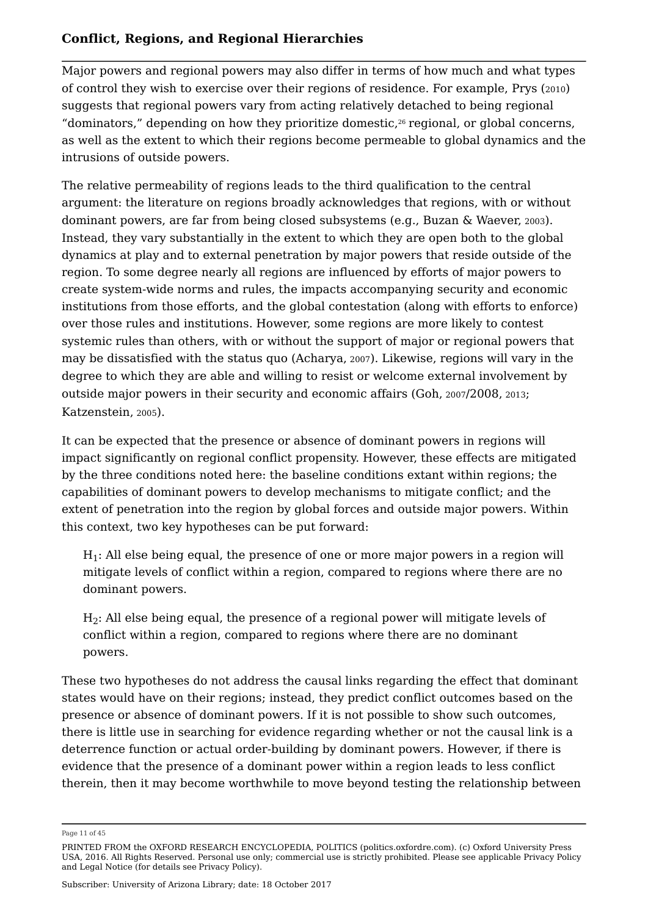Major powers and regional powers may also differ in terms of how much and what types of control they wish to exercise over their regions of residence. For example, Prys (2010) suggests that regional powers vary from acting relatively detached to being regional "dominators," depending on how they prioritize domestic, $^{26}$  regional, or global concerns, as well as the extent to which their regions become permeable to global dynamics and the intrusions of outside powers.

The relative permeability of regions leads to the third qualification to the central argument: the literature on regions broadly acknowledges that regions, with or without dominant powers, are far from being closed subsystems (e.g., Buzan & Waever, <sup>2003</sup>). Instead, they vary substantially in the extent to which they are open both to the global dynamics at play and to external penetration by major powers that reside outside of the region. To some degree nearly all regions are influenced by efforts of major powers to create system-wide norms and rules, the impacts accompanying security and economic institutions from those efforts, and the global contestation (along with efforts to enforce) over those rules and institutions. However, some regions are more likely to contest systemic rules than others, with or without the support of major or regional powers that may be dissatisfied with the status quo (Acharya, 2007). Likewise, regions will vary in the degree to which they are able and willing to resist or welcome external involvement by outside major powers in their security and economic affairs (Goh, 2007/2008, 2013; Katzenstein, 2005).

It can be expected that the presence or absence of dominant powers in regions will impact significantly on regional conflict propensity. However, these effects are mitigated by the three conditions noted here: the baseline conditions extant within regions; the capabilities of dominant powers to develop mechanisms to mitigate conflict; and the extent of penetration into the region by global forces and outside major powers. Within this context, two key hypotheses can be put forward:

 ${\rm H}_1$ : All else being equal, the presence of one or more major powers in a region will mitigate levels of conflict within a region, compared to regions where there are no dominant powers.

 $\rm H_2$ : All else being equal, the presence of a regional power will mitigate levels of conflict within a region, compared to regions where there are no dominant powers.

These two hypotheses do not address the causal links regarding the effect that dominant states would have on their regions; instead, they predict conflict outcomes based on the presence or absence of dominant powers. If it is not possible to show such outcomes, there is little use in searching for evidence regarding whether or not the causal link is a deterrence function or actual order-building by dominant powers. However, if there is evidence that the presence of a dominant power within a region leads to less conflict therein, then it may become worthwhile to move beyond testing the relationship between

Page 11 of 45

PRINTED FROM the OXFORD RESEARCH ENCYCLOPEDIA, POLITICS (politics.oxfordre.com). (c) Oxford University Press USA, 2016. All Rights Reserved. Personal use only; commercial use is strictly prohibited. Please see applicable Privacy Policy and Legal Notice (for details see Privacy Policy).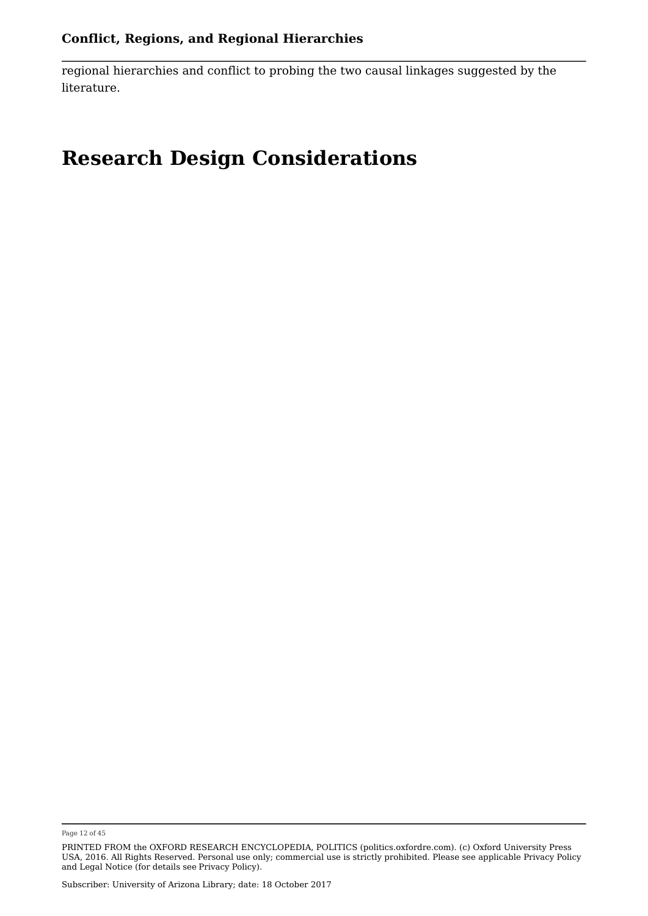regional hierarchies and conflict to probing the two causal linkages suggested by the literature.

### **Research Design Considerations**

Page 12 of 45

PRINTED FROM the OXFORD RESEARCH ENCYCLOPEDIA, POLITICS (politics.oxfordre.com). (c) Oxford University Press USA, 2016. All Rights Reserved. Personal use only; commercial use is strictly prohibited. Please see applicable Privacy Policy and Legal Notice (for details see Privacy Policy).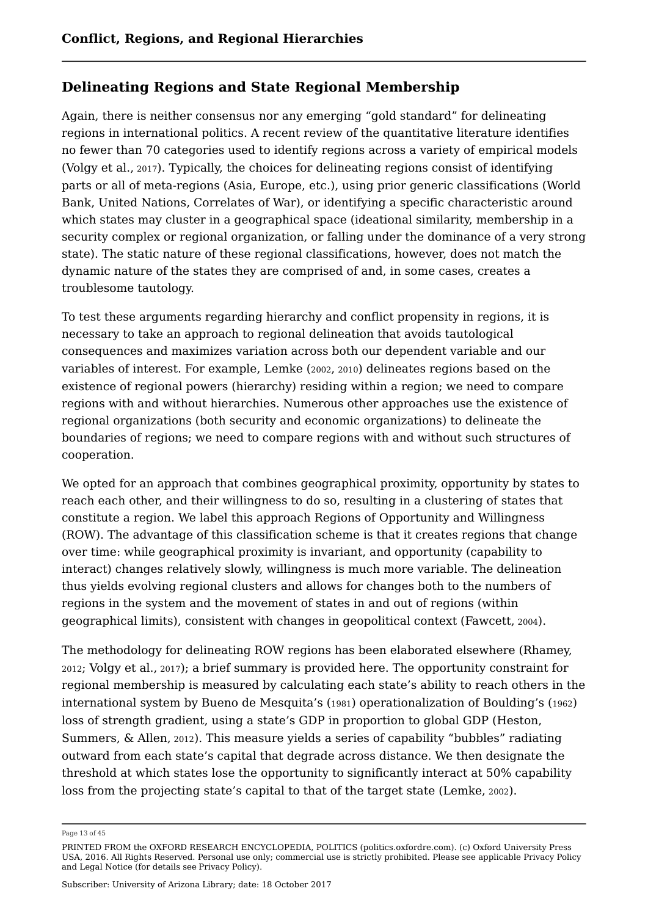#### **Delineating Regions and State Regional Membership**

Again, there is neither consensus nor any emerging "gold standard" for delineating regions in international politics. A recent review of the quantitative literature identifies no fewer than 70 categories used to identify regions across a variety of empirical models (Volgy et al., <sup>2017</sup>). Typically, the choices for delineating regions consist of identifying parts or all of meta-regions (Asia, Europe, etc.), using prior generic classifications (World Bank, United Nations, Correlates of War), or identifying a specific characteristic around which states may cluster in a geographical space (ideational similarity, membership in a security complex or regional organization, or falling under the dominance of a very strong state). The static nature of these regional classifications, however, does not match the dynamic nature of the states they are comprised of and, in some cases, creates a troublesome tautology.

To test these arguments regarding hierarchy and conflict propensity in regions, it is necessary to take an approach to regional delineation that avoids tautological consequences and maximizes variation across both our dependent variable and our variables of interest. For example, Lemke (2002, 2010) delineates regions based on the existence of regional powers (hierarchy) residing within a region; we need to compare regions with and without hierarchies. Numerous other approaches use the existence of regional organizations (both security and economic organizations) to delineate the boundaries of regions; we need to compare regions with and without such structures of cooperation.

We opted for an approach that combines geographical proximity, opportunity by states to reach each other, and their willingness to do so, resulting in a clustering of states that constitute a region. We label this approach Regions of Opportunity and Willingness (ROW). The advantage of this classification scheme is that it creates regions that change over time: while geographical proximity is invariant, and opportunity (capability to interact) changes relatively slowly, willingness is much more variable. The delineation thus yields evolving regional clusters and allows for changes both to the numbers of regions in the system and the movement of states in and out of regions (within geographical limits), consistent with changes in geopolitical context (Fawcett, 2004).

The methodology for delineating ROW regions has been elaborated elsewhere (Rhamey, <sup>2012</sup>; Volgy et al., <sup>2017</sup>); a brief summary is provided here. The opportunity constraint for regional membership is measured by calculating each state's ability to reach others in the international system by Bueno de Mesquita's (1981) operationalization of Boulding's (1962) loss of strength gradient, using a state's GDP in proportion to global GDP (Heston, Summers, & Allen, <sup>2012</sup>). This measure yields a series of capability "bubbles" radiating outward from each state's capital that degrade across distance. We then designate the threshold at which states lose the opportunity to significantly interact at 50% capability loss from the projecting state's capital to that of the target state (Lemke, <sup>2002</sup>).

Page 13 of 45

PRINTED FROM the OXFORD RESEARCH ENCYCLOPEDIA, POLITICS (politics.oxfordre.com). (c) Oxford University Press USA, 2016. All Rights Reserved. Personal use only; commercial use is strictly prohibited. Please see applicable Privacy Policy and Legal Notice (for details see Privacy Policy).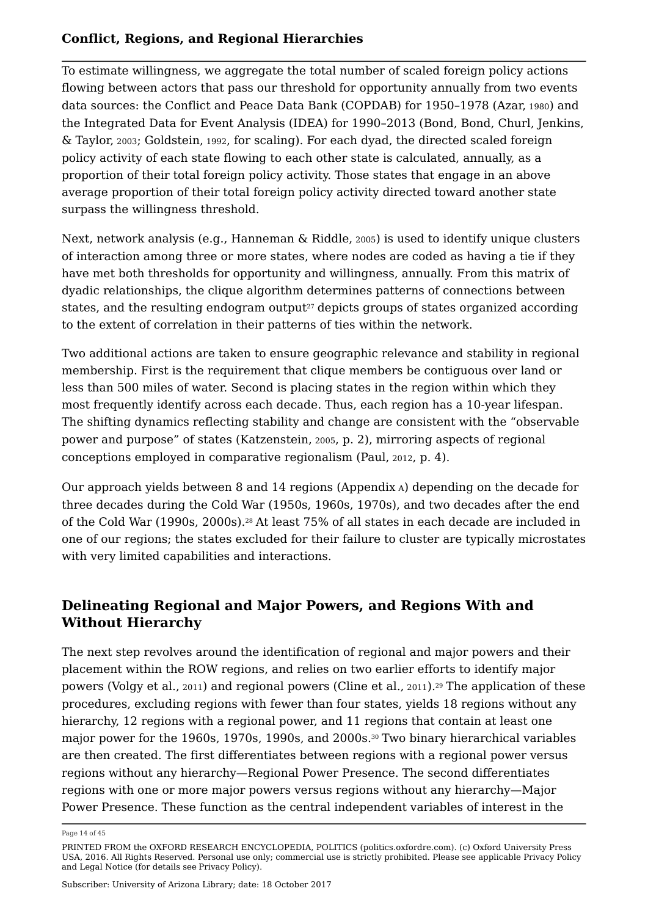To estimate willingness, we aggregate the total number of scaled foreign policy actions flowing between actors that pass our threshold for opportunity annually from two events data sources: the Conflict and Peace Data Bank (COPDAB) for 1950–1978 (Azar, <sup>1980</sup>) and the Integrated Data for Event Analysis (IDEA) for 1990–2013 (Bond, Bond, Churl, Jenkins, & Taylor, <sup>2003</sup>; Goldstein, <sup>1992</sup>, for scaling). For each dyad, the directed scaled foreign policy activity of each state flowing to each other state is calculated, annually, as a proportion of their total foreign policy activity. Those states that engage in an above average proportion of their total foreign policy activity directed toward another state surpass the willingness threshold.

Next, network analysis (e.g., Hanneman & Riddle, <sup>2005</sup>) is used to identify unique clusters of interaction among three or more states, where nodes are coded as having a tie if they have met both thresholds for opportunity and willingness, annually. From this matrix of dyadic relationships, the clique algorithm determines patterns of connections between states, and the resulting endogram output $^{\scriptscriptstyle 27}$  depicts groups of states organized according to the extent of correlation in their patterns of ties within the network.

Two additional actions are taken to ensure geographic relevance and stability in regional membership. First is the requirement that clique members be contiguous over land or less than 500 miles of water. Second is placing states in the region within which they most frequently identify across each decade. Thus, each region has a 10-year lifespan. The shifting dynamics reflecting stability and change are consistent with the "observable power and purpose" of states (Katzenstein, 2005, p. 2), mirroring aspects of regional conceptions employed in comparative regionalism (Paul, 2012, p. 4).

Our approach yields between 8 and 14 regions (Appendix A) depending on the decade for three decades during the Cold War (1950s, 1960s, 1970s), and two decades after the end of the Cold War (1990s, 2000s). $^{28}\,$ At least 75% of all states in each decade are included in one of our regions; the states excluded for their failure to cluster are typically microstates with very limited capabilities and interactions.

#### **Delineating Regional and Major Powers, and Regions With and Without Hierarchy**

The next step revolves around the identification of regional and major powers and their placement within the ROW regions, and relies on two earlier efforts to identify major powers (Volgy et al., 2011) and regional powers (Cline et al., 2011). $^{29}$  The application of these procedures, excluding regions with fewer than four states, yields 18 regions without any hierarchy, 12 regions with a regional power, and 11 regions that contain at least one major power for the 1960s, 1970s, 1990s, and 2000s.3º Two binary hierarchical variables are then created. The first differentiates between regions with a regional power versus regions without any hierarchy—Regional Power Presence. The second differentiates regions with one or more major powers versus regions without any hierarchy—Major Power Presence. These function as the central independent variables of interest in the

Page 14 of 45

PRINTED FROM the OXFORD RESEARCH ENCYCLOPEDIA, POLITICS (politics.oxfordre.com). (c) Oxford University Press USA, 2016. All Rights Reserved. Personal use only; commercial use is strictly prohibited. Please see applicable Privacy Policy and Legal Notice (for details see Privacy Policy).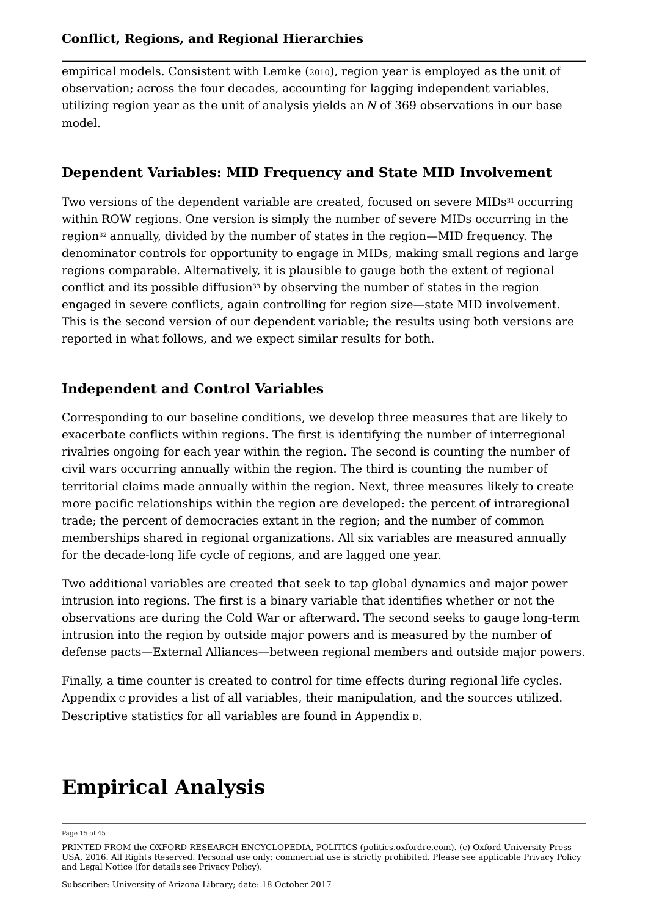empirical models. Consistent with Lemke (2010), region year is employed as the unit of observation; across the four decades, accounting for lagging independent variables, utilizing region year as the unit of analysis yields an *N* of 369 observations in our base model.

#### **Dependent Variables: MID Frequency and State MID Involvement**

Two versions of the dependent variable are created, focused on severe MIDs $^{\rm 31}$  occurring within ROW regions. One version is simply the number of severe MIDs occurring in the region $^{32}$  annually, divided by the number of states in the region—MID frequency. The denominator controls for opportunity to engage in MIDs, making small regions and large regions comparable. Alternatively, it is plausible to gauge both the extent of regional conflict and its possible diffusion $^{\scriptscriptstyle 33}$  by observing the number of states in the region engaged in severe conflicts, again controlling for region size—state MID involvement. This is the second version of our dependent variable; the results using both versions are reported in what follows, and we expect similar results for both.

#### **Independent and Control Variables**

Corresponding to our baseline conditions, we develop three measures that are likely to exacerbate conflicts within regions. The first is identifying the number of interregional rivalries ongoing for each year within the region. The second is counting the number of civil wars occurring annually within the region. The third is counting the number of territorial claims made annually within the region. Next, three measures likely to create more pacific relationships within the region are developed: the percent of intraregional trade; the percent of democracies extant in the region; and the number of common memberships shared in regional organizations. All six variables are measured annually for the decade-long life cycle of regions, and are lagged one year.

Two additional variables are created that seek to tap global dynamics and major power intrusion into regions. The first is a binary variable that identifies whether or not the observations are during the Cold War or afterward. The second seeks to gauge long-term intrusion into the region by outside major powers and is measured by the number of defense pacts—External Alliances—between regional members and outside major powers.

Finally, a time counter is created to control for time effects during regional life cycles. Appendix <sup>C</sup> provides a list of all variables, their manipulation, and the sources utilized. Descriptive statistics for all variables are found in Appendix <sup>D</sup>.

# **Empirical Analysis**

#### Page 15 of 45

PRINTED FROM the OXFORD RESEARCH ENCYCLOPEDIA, POLITICS (politics.oxfordre.com). (c) Oxford University Press USA, 2016. All Rights Reserved. Personal use only; commercial use is strictly prohibited. Please see applicable Privacy Policy and Legal Notice (for details see Privacy Policy).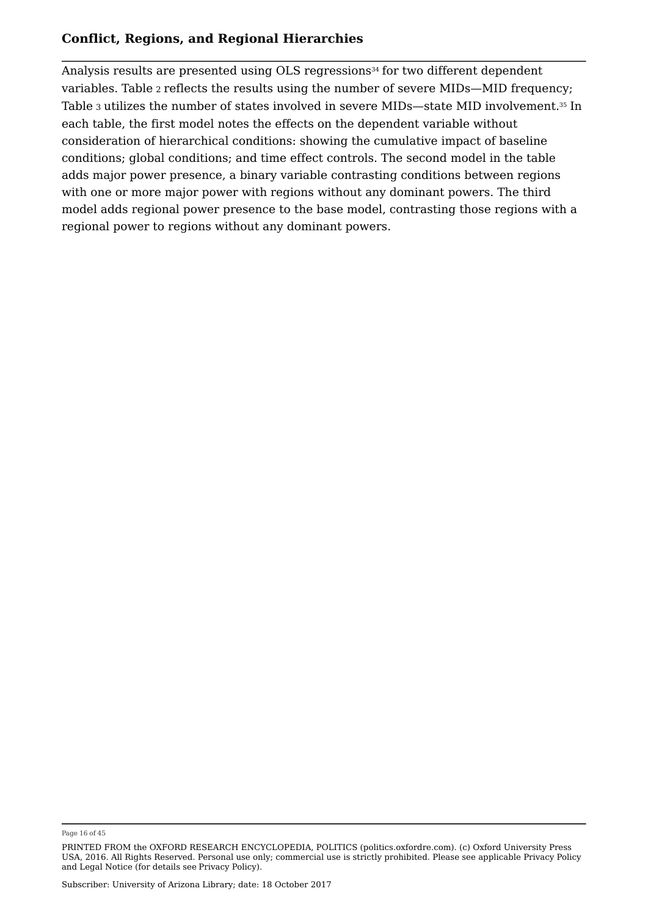Analysis results are presented using OLS regressions $^{\rm 34}$  for two different dependent variables. Table <sup>2</sup> reflects the results using the number of severe MIDs—MID frequency; Table 3 utilizes the number of states involved in severe MIDs—state MID involvement.<sup>35</sup> In each table, the first model notes the effects on the dependent variable without consideration of hierarchical conditions: showing the cumulative impact of baseline conditions; global conditions; and time effect controls. The second model in the table adds major power presence, a binary variable contrasting conditions between regions with one or more major power with regions without any dominant powers. The third model adds regional power presence to the base model, contrasting those regions with a regional power to regions without any dominant powers.

Page 16 of 45

PRINTED FROM the OXFORD RESEARCH ENCYCLOPEDIA, POLITICS (politics.oxfordre.com). (c) Oxford University Press USA, 2016. All Rights Reserved. Personal use only; commercial use is strictly prohibited. Please see applicable Privacy Policy and Legal Notice (for details see Privacy Policy).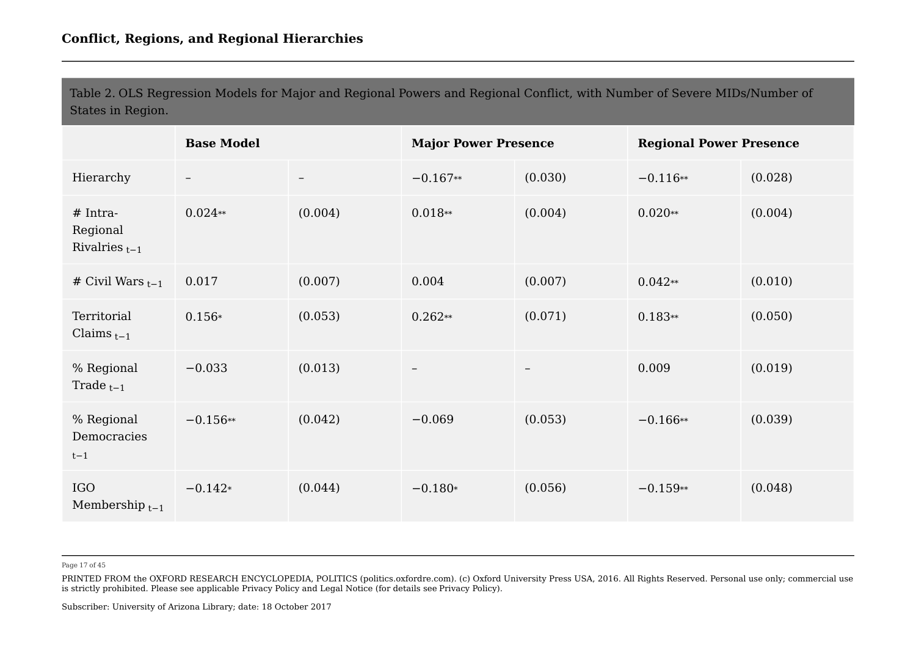Table 2. OLS Regression Models for Major and Regional Powers and Regional Conflict, with Number of Severe MIDs/Number of States in Region.

|                                              | <b>Base Model</b>        |                   | <b>Major Power Presence</b> |                   | <b>Regional Power Presence</b> |         |
|----------------------------------------------|--------------------------|-------------------|-----------------------------|-------------------|--------------------------------|---------|
| Hierarchy                                    | $\overline{\phantom{m}}$ | $\qquad \qquad -$ | $-0.167**$                  | (0.030)           | $-0.116**$                     | (0.028) |
| $#$ Intra-<br>Regional<br>Rivalries $_{t-1}$ | $0.024**$                | (0.004)           | $0.018**$                   | (0.004)           | $0.020**$                      | (0.004) |
| # Civil Wars $_{t-1}$                        | 0.017                    | (0.007)           | 0.004                       | (0.007)           | $0.042**$                      | (0.010) |
| Territorial<br>Claims $_{t-1}$               | $0.156*$                 | (0.053)           | $0.262**$                   | (0.071)           | $0.183**$                      | (0.050) |
| % Regional<br>Trade $_{t-1}$                 | $-0.033$                 | (0.013)           | $\qquad \qquad -$           | $\qquad \qquad -$ | 0.009                          | (0.019) |
| % Regional<br>Democracies<br>$t-1$           | $-0.156**$               | (0.042)           | $-0.069$                    | (0.053)           | $-0.166**$                     | (0.039) |
| <b>IGO</b><br>Membership $_{t-1}$            | $-0.142*$                | (0.044)           | $-0.180*$                   | (0.056)           | $-0.159**$                     | (0.048) |

Page 17 of 45

PRINTED FROM the OXFORD RESEARCH ENCYCLOPEDIA, POLITICS (politics.oxfordre.com). (c) Oxford University Press USA, 2016. All Rights Reserved. Personal use only; commercial use is strictly prohibited. Please see applicable Privacy Policy and Legal Notice (for details see Privacy Policy).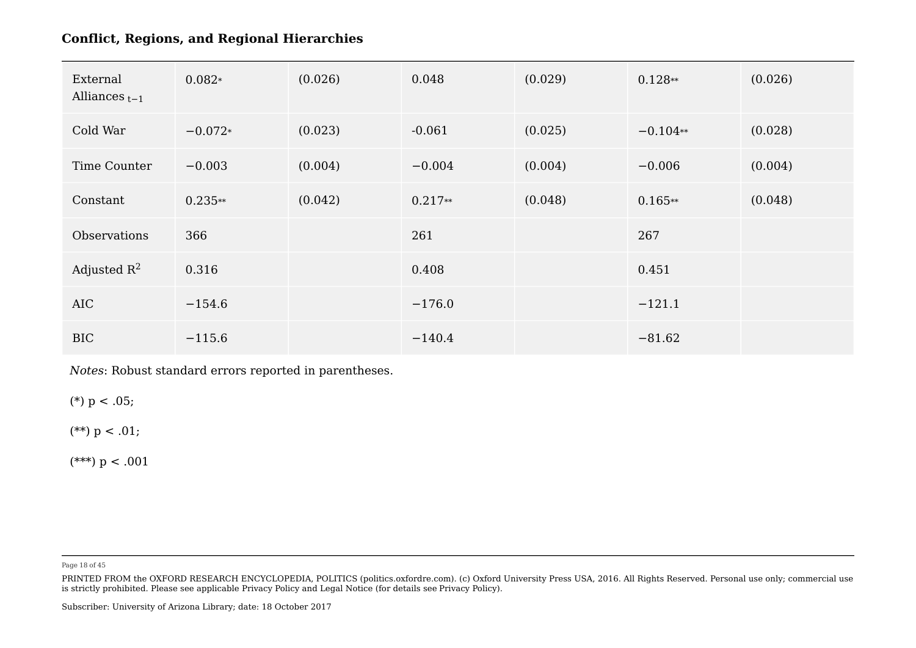| External<br>Alliances $_{t-1}$ | $0.082*$  | (0.026) | 0.048     | (0.029) | $0.128**$  | (0.026) |
|--------------------------------|-----------|---------|-----------|---------|------------|---------|
| Cold War                       | $-0.072*$ | (0.023) | $-0.061$  | (0.025) | $-0.104**$ | (0.028) |
| Time Counter                   | $-0.003$  | (0.004) | $-0.004$  | (0.004) | $-0.006$   | (0.004) |
| Constant                       | $0.235**$ | (0.042) | $0.217**$ | (0.048) | $0.165**$  | (0.048) |
| Observations                   | 366       |         | 261       |         | 267        |         |
| Adjusted $R^2$                 | 0.316     |         | 0.408     |         | 0.451      |         |
| AIC                            | $-154.6$  |         | $-176.0$  |         | $-121.1$   |         |
| <b>BIC</b>                     | $-115.6$  |         | $-140.4$  |         | $-81.62$   |         |

*Notes*: Robust standard errors reported in parentheses.

(\*)  $p < .05$ ;

(\*\*)  $p < .01$ ;

(\*\*\*)  $p < .001$ 

Page 18 of 45

PRINTED FROM the OXFORD RESEARCH ENCYCLOPEDIA, POLITICS (politics.oxfordre.com). (c) Oxford University Press USA, 2016. All Rights Reserved. Personal use only; commercial use is strictly prohibited. Please see applicable Privacy Policy and Legal Notice (for details see Privacy Policy).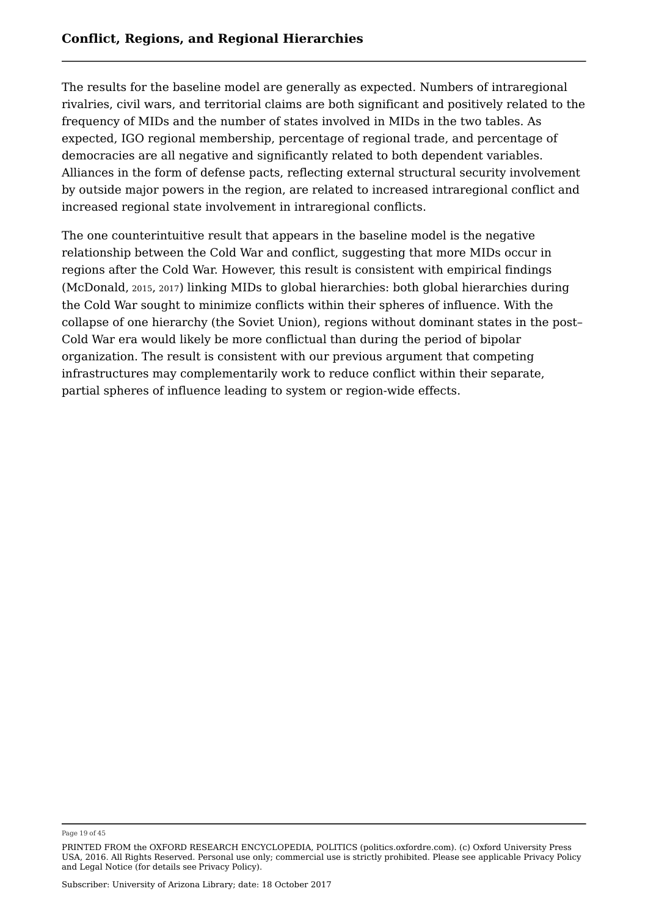The results for the baseline model are generally as expected. Numbers of intraregional rivalries, civil wars, and territorial claims are both significant and positively related to the frequency of MIDs and the number of states involved in MIDs in the two tables. As expected, IGO regional membership, percentage of regional trade, and percentage of democracies are all negative and significantly related to both dependent variables. Alliances in the form of defense pacts, reflecting external structural security involvement by outside major powers in the region, are related to increased intraregional conflict and increased regional state involvement in intraregional conflicts.

The one counterintuitive result that appears in the baseline model is the negative relationship between the Cold War and conflict, suggesting that more MIDs occur in regions after the Cold War. However, this result is consistent with empirical findings (McDonald, <sup>2015</sup>, <sup>2017</sup>) linking MIDs to global hierarchies: both global hierarchies during the Cold War sought to minimize conflicts within their spheres of influence. With the collapse of one hierarchy (the Soviet Union), regions without dominant states in the post– Cold War era would likely be more conflictual than during the period of bipolar organization. The result is consistent with our previous argument that competing infrastructures may complementarily work to reduce conflict within their separate, partial spheres of influence leading to system or region-wide effects.

Page 19 of 45

PRINTED FROM the OXFORD RESEARCH ENCYCLOPEDIA, POLITICS (politics.oxfordre.com). (c) Oxford University Press USA, 2016. All Rights Reserved. Personal use only; commercial use is strictly prohibited. Please see applicable Privacy Policy and Legal Notice (for details see Privacy Policy).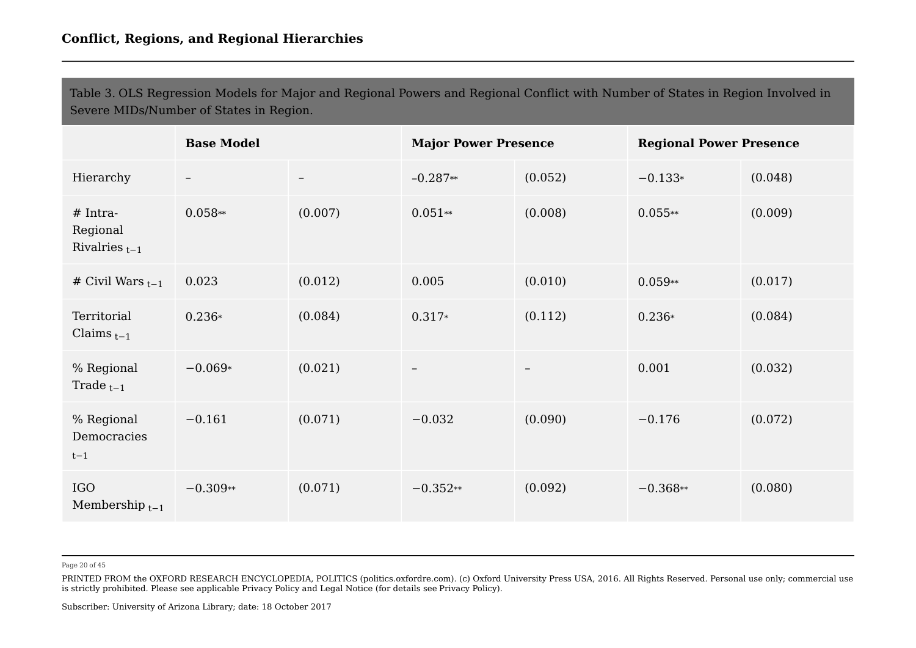Table 3. OLS Regression Models for Major and Regional Powers and Regional Conflict with Number of States in Region Involved in Severe MIDs/Number of States in Region.

|                                              | <b>Base Model</b> |         | <b>Major Power Presence</b> |                   | <b>Regional Power Presence</b> |         |
|----------------------------------------------|-------------------|---------|-----------------------------|-------------------|--------------------------------|---------|
| Hierarchy                                    | $-$               |         | $-0.287**$                  | (0.052)           | $-0.133*$                      | (0.048) |
| $# Intra-$<br>Regional<br>Rivalries $_{t-1}$ | $0.058**$         | (0.007) | $0.051**$                   | (0.008)           | $0.055**$                      | (0.009) |
| # Civil Wars $_{t-1}$                        | 0.023             | (0.012) | 0.005                       | (0.010)           | $0.059**$                      | (0.017) |
| Territorial<br>Claims $_{t-1}$               | $0.236*$          | (0.084) | $0.317*$                    | (0.112)           | $0.236*$                       | (0.084) |
| % Regional<br>Trade $_{t-1}$                 | $-0.069*$         | (0.021) | $\overline{\phantom{m}}$    | $\qquad \qquad -$ | 0.001                          | (0.032) |
| % Regional<br>Democracies<br>$t-1$           | $-0.161$          | (0.071) | $-0.032$                    | (0.090)           | $-0.176$                       | (0.072) |
| <b>IGO</b><br>Membership $t-1$               | $-0.309**$        | (0.071) | $-0.352**$                  | (0.092)           | $-0.368**$                     | (0.080) |

Page 20 of 45

PRINTED FROM the OXFORD RESEARCH ENCYCLOPEDIA, POLITICS (politics.oxfordre.com). (c) Oxford University Press USA, 2016. All Rights Reserved. Personal use only; commercial use is strictly prohibited. Please see applicable Privacy Policy and Legal Notice (for details see Privacy Policy).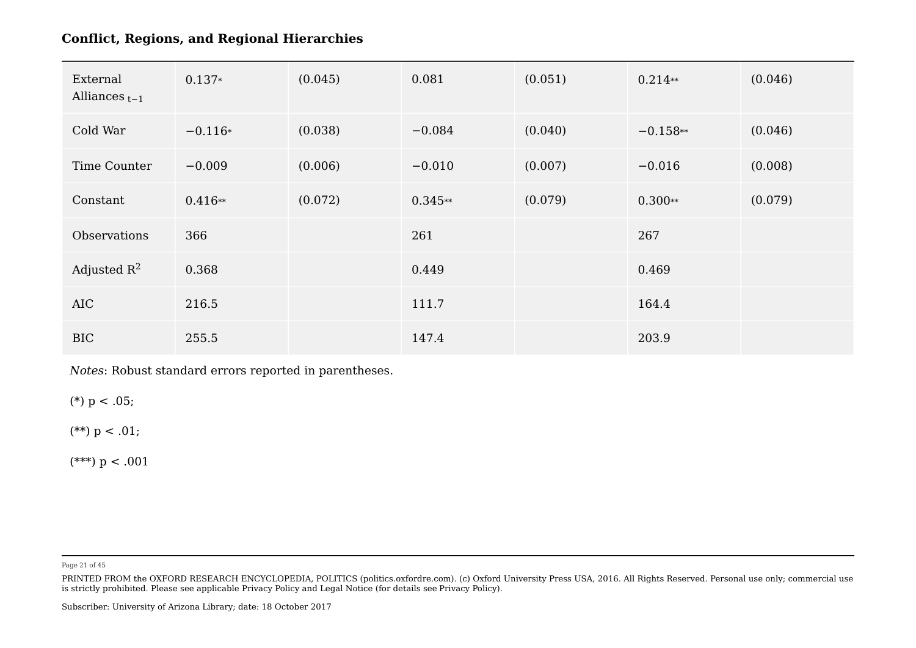| External<br>Alliances $_{t-1}$ | $0.137*$  | (0.045) | 0.081     | (0.051) | $0.214**$  | (0.046) |
|--------------------------------|-----------|---------|-----------|---------|------------|---------|
| Cold War                       | $-0.116*$ | (0.038) | $-0.084$  | (0.040) | $-0.158**$ | (0.046) |
| Time Counter                   | $-0.009$  | (0.006) | $-0.010$  | (0.007) | $-0.016$   | (0.008) |
| Constant                       | $0.416**$ | (0.072) | $0.345**$ | (0.079) | $0.300**$  | (0.079) |
| Observations                   | 366       |         | 261       |         | 267        |         |
| Adjusted $R^2$                 | 0.368     |         | 0.449     |         | 0.469      |         |
| AIC                            | 216.5     |         | 111.7     |         | 164.4      |         |
| <b>BIC</b>                     | 255.5     |         | 147.4     |         | 203.9      |         |

*Notes*: Robust standard errors reported in parentheses.

(\*)  $p < .05$ ;

(\*\*)  $p < .01$ ;

(\*\*\*)  $p < .001$ 

Page 21 of 45

PRINTED FROM the OXFORD RESEARCH ENCYCLOPEDIA, POLITICS (politics.oxfordre.com). (c) Oxford University Press USA, 2016. All Rights Reserved. Personal use only; commercial use is strictly prohibited. Please see applicable Privacy Policy and Legal Notice (for details see Privacy Policy).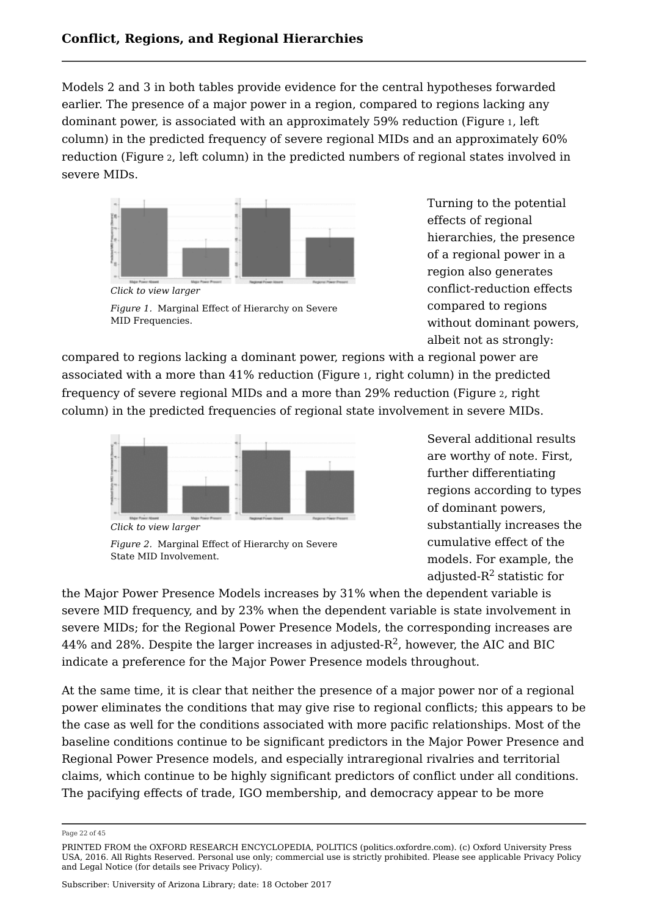Models 2 and 3 in both tables provide evidence for the central hypotheses forwarded earlier. The presence of a major power in a region, compared to regions lacking any dominant power, is associated with an approximately 59% reduction (Figure <sup>1</sup>, left column) in the predicted frequency of severe regional MIDs and an approximately 60% reduction (Figure <sup>2</sup>, left column) in the predicted numbers of regional states involved in severe MIDs.



*Click to view larger Figure 1.* Marginal Effect of Hierarchy on Severe MID Frequencies.

Turning to the potential effects of regional hierarchies, the presence of a regional power in a region also generates conflict-reduction effects compared to regions without dominant powers, albeit not as strongly:

compared to regions lacking a dominant power, regions with a regional power are associated with a more than 41% reduction (Figure 1, right column) in the predicted frequency of severe regional MIDs and a more than 29% reduction (Figure 2, right column) in the predicted frequencies of regional state involvement in severe MIDs.



*Figure 2.* Marginal Effect of Hierarchy on Severe

State MID Involvement.

Several additional results are worthy of note. First, further differentiating regions according to types of dominant powers, substantially increases the cumulative effect of the models. For example, the adjusted- $\mathsf{R}^2$  statistic for

the Major Power Presence Models increases by 31% when the dependent variable is severe MID frequency, and by 23% when the dependent variable is state involvement in severe MIDs; for the Regional Power Presence Models, the corresponding increases are  $44\%$  and 28%. Despite the larger increases in adjusted-R $^2$ , however, the AIC and BIC indicate a preference for the Major Power Presence models throughout.

At the same time, it is clear that neither the presence of a major power nor of a regional power eliminates the conditions that may give rise to regional conflicts; this appears to be the case as well for the conditions associated with more pacific relationships. Most of the baseline conditions continue to be significant predictors in the Major Power Presence and Regional Power Presence models, and especially intraregional rivalries and territorial claims, which continue to be highly significant predictors of conflict under all conditions. The pacifying effects of trade, IGO membership, and democracy appear to be more

Page 22 of 45

PRINTED FROM the OXFORD RESEARCH ENCYCLOPEDIA, POLITICS (politics.oxfordre.com). (c) Oxford University Press USA, 2016. All Rights Reserved. Personal use only; commercial use is strictly prohibited. Please see applicable Privacy Policy and Legal Notice (for details see Privacy Policy).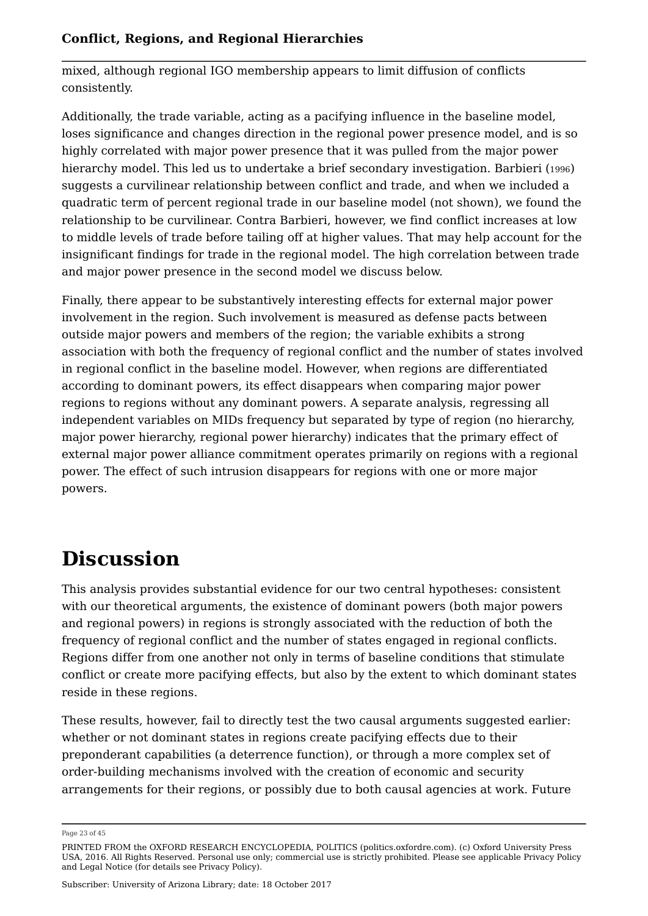mixed, although regional IGO membership appears to limit diffusion of conflicts consistently.

Additionally, the trade variable, acting as a pacifying influence in the baseline model, loses significance and changes direction in the regional power presence model, and is so highly correlated with major power presence that it was pulled from the major power hierarchy model. This led us to undertake a brief secondary investigation. Barbieri (1996) suggests a curvilinear relationship between conflict and trade, and when we included a quadratic term of percent regional trade in our baseline model (not shown), we found the relationship to be curvilinear. Contra Barbieri, however, we find conflict increases at low to middle levels of trade before tailing off at higher values. That may help account for the insignificant findings for trade in the regional model. The high correlation between trade and major power presence in the second model we discuss below.

Finally, there appear to be substantively interesting effects for external major power involvement in the region. Such involvement is measured as defense pacts between outside major powers and members of the region; the variable exhibits a strong association with both the frequency of regional conflict and the number of states involved in regional conflict in the baseline model. However, when regions are differentiated according to dominant powers, its effect disappears when comparing major power regions to regions without any dominant powers. A separate analysis, regressing all independent variables on MIDs frequency but separated by type of region (no hierarchy, major power hierarchy, regional power hierarchy) indicates that the primary effect of external major power alliance commitment operates primarily on regions with a regional power. The effect of such intrusion disappears for regions with one or more major powers.

# **Discussion**

This analysis provides substantial evidence for our two central hypotheses: consistent with our theoretical arguments, the existence of dominant powers (both major powers and regional powers) in regions is strongly associated with the reduction of both the frequency of regional conflict and the number of states engaged in regional conflicts. Regions differ from one another not only in terms of baseline conditions that stimulate conflict or create more pacifying effects, but also by the extent to which dominant states reside in these regions.

These results, however, fail to directly test the two causal arguments suggested earlier: whether or not dominant states in regions create pacifying effects due to their preponderant capabilities (a deterrence function), or through a more complex set of order-building mechanisms involved with the creation of economic and security arrangements for their regions, or possibly due to both causal agencies at work. Future

Page 23 of 45

PRINTED FROM the OXFORD RESEARCH ENCYCLOPEDIA, POLITICS (politics.oxfordre.com). (c) Oxford University Press USA, 2016. All Rights Reserved. Personal use only; commercial use is strictly prohibited. Please see applicable Privacy Policy and Legal Notice (for details see Privacy Policy).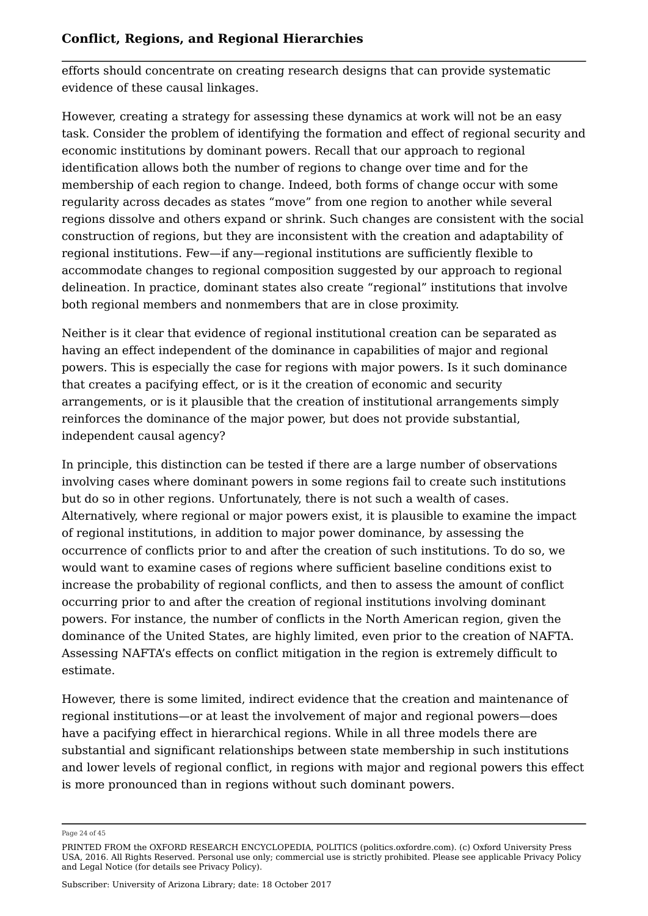efforts should concentrate on creating research designs that can provide systematic evidence of these causal linkages.

However, creating a strategy for assessing these dynamics at work will not be an easy task. Consider the problem of identifying the formation and effect of regional security and economic institutions by dominant powers. Recall that our approach to regional identification allows both the number of regions to change over time and for the membership of each region to change. Indeed, both forms of change occur with some regularity across decades as states "move" from one region to another while several regions dissolve and others expand or shrink. Such changes are consistent with the social construction of regions, but they are inconsistent with the creation and adaptability of regional institutions. Few—if any—regional institutions are sufficiently flexible to accommodate changes to regional composition suggested by our approach to regional delineation. In practice, dominant states also create "regional" institutions that involve both regional members and nonmembers that are in close proximity.

Neither is it clear that evidence of regional institutional creation can be separated as having an effect independent of the dominance in capabilities of major and regional powers. This is especially the case for regions with major powers. Is it such dominance that creates a pacifying effect, or is it the creation of economic and security arrangements, or is it plausible that the creation of institutional arrangements simply reinforces the dominance of the major power, but does not provide substantial, independent causal agency?

In principle, this distinction can be tested if there are a large number of observations involving cases where dominant powers in some regions fail to create such institutions but do so in other regions. Unfortunately, there is not such a wealth of cases. Alternatively, where regional or major powers exist, it is plausible to examine the impact of regional institutions, in addition to major power dominance, by assessing the occurrence of conflicts prior to and after the creation of such institutions. To do so, we would want to examine cases of regions where sufficient baseline conditions exist to increase the probability of regional conflicts, and then to assess the amount of conflict occurring prior to and after the creation of regional institutions involving dominant powers. For instance, the number of conflicts in the North American region, given the dominance of the United States, are highly limited, even prior to the creation of NAFTA. Assessing NAFTA's effects on conflict mitigation in the region is extremely difficult to estimate.

However, there is some limited, indirect evidence that the creation and maintenance of regional institutions—or at least the involvement of major and regional powers—does have a pacifying effect in hierarchical regions. While in all three models there are substantial and significant relationships between state membership in such institutions and lower levels of regional conflict, in regions with major and regional powers this effect is more pronounced than in regions without such dominant powers.

Page 24 of 45

PRINTED FROM the OXFORD RESEARCH ENCYCLOPEDIA, POLITICS (politics.oxfordre.com). (c) Oxford University Press USA, 2016. All Rights Reserved. Personal use only; commercial use is strictly prohibited. Please see applicable Privacy Policy and Legal Notice (for details see Privacy Policy).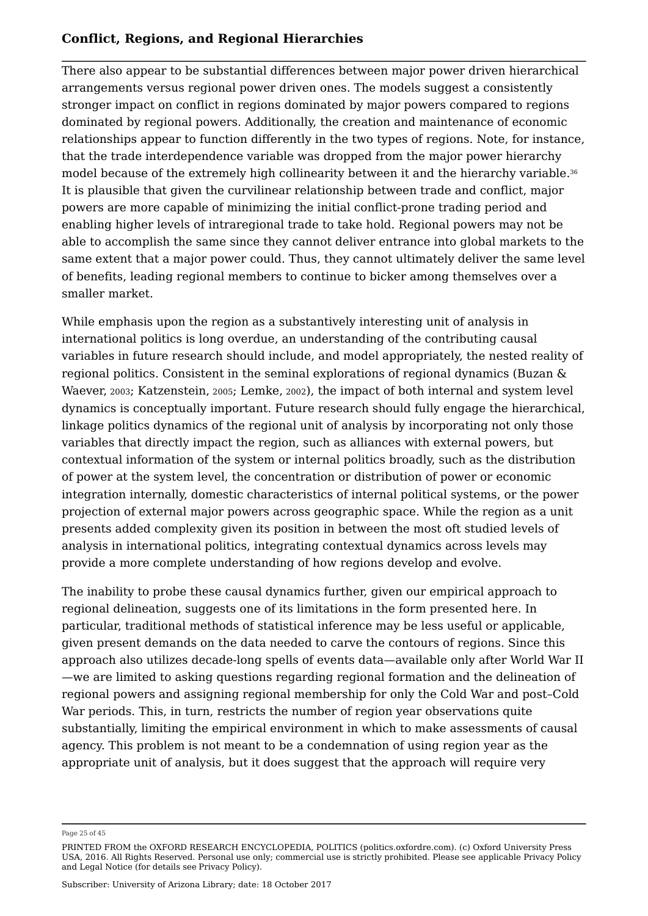There also appear to be substantial differences between major power driven hierarchical arrangements versus regional power driven ones. The models suggest a consistently stronger impact on conflict in regions dominated by major powers compared to regions dominated by regional powers. Additionally, the creation and maintenance of economic relationships appear to function differently in the two types of regions. Note, for instance, that the trade interdependence variable was dropped from the major power hierarchy model because of the extremely high collinearity between it and the hierarchy variable. 36It is plausible that given the curvilinear relationship between trade and conflict, major powers are more capable of minimizing the initial conflict-prone trading period and enabling higher levels of intraregional trade to take hold. Regional powers may not be able to accomplish the same since they cannot deliver entrance into global markets to the same extent that a major power could. Thus, they cannot ultimately deliver the same level of benefits, leading regional members to continue to bicker among themselves over a smaller market.

While emphasis upon the region as a substantively interesting unit of analysis in international politics is long overdue, an understanding of the contributing causal variables in future research should include, and model appropriately, the nested reality of regional politics. Consistent in the seminal explorations of regional dynamics (Buzan & Waever, 2003; Katzenstein, 2005; Lemke, 2002), the impact of both internal and system level dynamics is conceptually important. Future research should fully engage the hierarchical, linkage politics dynamics of the regional unit of analysis by incorporating not only those variables that directly impact the region, such as alliances with external powers, but contextual information of the system or internal politics broadly, such as the distribution of power at the system level, the concentration or distribution of power or economic integration internally, domestic characteristics of internal political systems, or the power projection of external major powers across geographic space. While the region as a unit presents added complexity given its position in between the most oft studied levels of analysis in international politics, integrating contextual dynamics across levels may provide a more complete understanding of how regions develop and evolve.

The inability to probe these causal dynamics further, given our empirical approach to regional delineation, suggests one of its limitations in the form presented here. In particular, traditional methods of statistical inference may be less useful or applicable, given present demands on the data needed to carve the contours of regions. Since this approach also utilizes decade-long spells of events data—available only after World War II —we are limited to asking questions regarding regional formation and the delineation of regional powers and assigning regional membership for only the Cold War and post–Cold War periods. This, in turn, restricts the number of region year observations quite substantially, limiting the empirical environment in which to make assessments of causal agency. This problem is not meant to be a condemnation of using region year as the appropriate unit of analysis, but it does suggest that the approach will require very

Page 25 of 45

PRINTED FROM the OXFORD RESEARCH ENCYCLOPEDIA, POLITICS (politics.oxfordre.com). (c) Oxford University Press USA, 2016. All Rights Reserved. Personal use only; commercial use is strictly prohibited. Please see applicable Privacy Policy and Legal Notice (for details see Privacy Policy).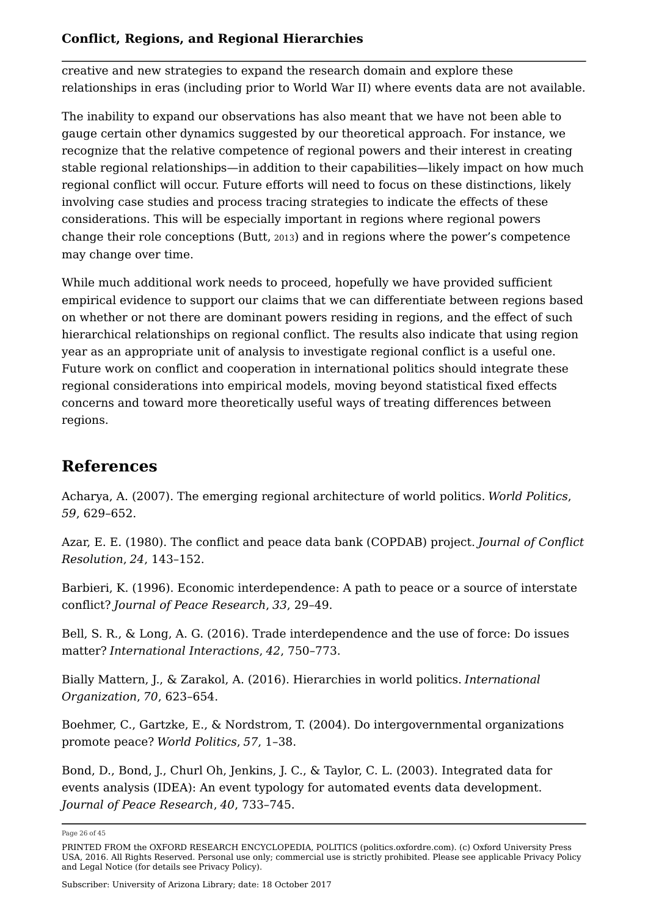creative and new strategies to expand the research domain and explore these relationships in eras (including prior to World War II) where events data are not available.

The inability to expand our observations has also meant that we have not been able to gauge certain other dynamics suggested by our theoretical approach. For instance, we recognize that the relative competence of regional powers and their interest in creating stable regional relationships—in addition to their capabilities—likely impact on how much regional conflict will occur. Future efforts will need to focus on these distinctions, likely involving case studies and process tracing strategies to indicate the effects of these considerations. This will be especially important in regions where regional powers change their role conceptions (Butt, <sup>2013</sup>) and in regions where the power's competence may change over time.

While much additional work needs to proceed, hopefully we have provided sufficient empirical evidence to support our claims that we can differentiate between regions based on whether or not there are dominant powers residing in regions, and the effect of such hierarchical relationships on regional conflict. The results also indicate that using region year as an appropriate unit of analysis to investigate regional conflict is a useful one. Future work on conflict and cooperation in international politics should integrate these regional considerations into empirical models, moving beyond statistical fixed effects concerns and toward more theoretically useful ways of treating differences between regions.

### **References**

Acharya, A. (2007). The emerging regional architecture of world politics. *World Politics*, *59*, 629–652.

Azar, E. E. (1980). The conflict and peace data bank (COPDAB) project. *Journal of Conflict Resolution*, *24*, 143–152.

Barbieri, K. (1996). Economic interdependence: A path to peace or a source of interstate conflict? *Journal of Peace Research*, *33*, 29–49.

Bell, S. R., & Long, A. G. (2016). Trade interdependence and the use of force: Do issues matter? *International Interactions*, *42*, 750–773.

Bially Mattern, J., & Zarakol, A. (2016). Hierarchies in world politics. *International Organization*, *70*, 623–654.

Boehmer, C., Gartzke, E., & Nordstrom, T. (2004). Do intergovernmental organizations promote peace? *World Politics*, *57*, 1–38.

Bond, D., Bond, J., Churl Oh, Jenkins, J. C., & Taylor, C. L. (2003). Integrated data for events analysis (IDEA): An event typology for automated events data development. *Journal of Peace Research*, *40*, 733–745.

Subscriber: University of Arizona Library; date: 18 October 2017

Page 26 of 45

PRINTED FROM the OXFORD RESEARCH ENCYCLOPEDIA, POLITICS (politics.oxfordre.com). (c) Oxford University Press USA, 2016. All Rights Reserved. Personal use only; commercial use is strictly prohibited. Please see applicable Privacy Policy and Legal Notice (for details see Privacy Policy).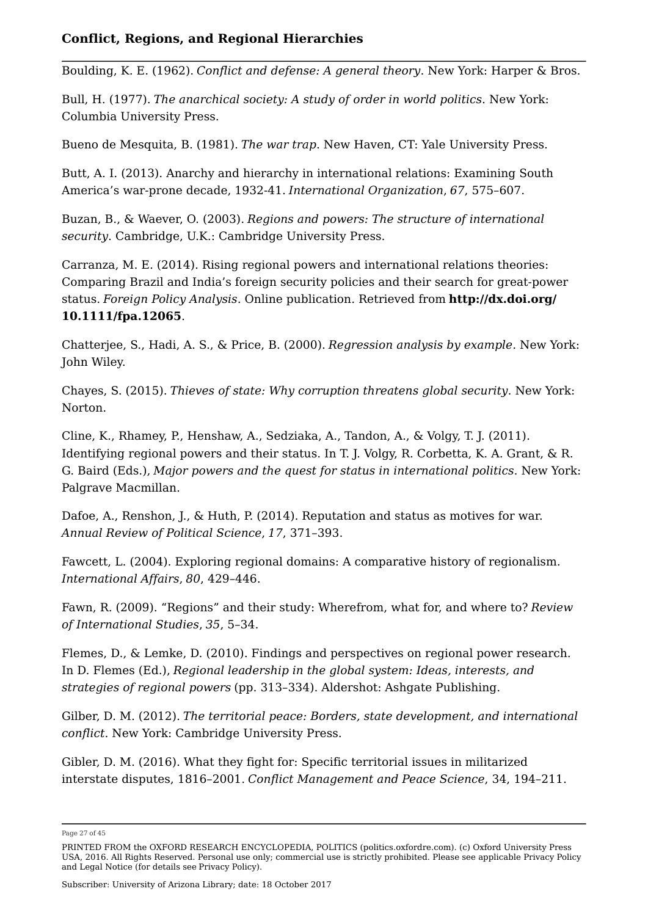Boulding, K. E. (1962). *Conflict and defense: A general theory*. New York: Harper & Bros.

Bull, H. (1977). *The anarchical society: A study of order in world politics*. New York: Columbia University Press.

Bueno de Mesquita, B. (1981). *The war trap*. New Haven, CT: Yale University Press.

Butt, A. I. (2013). Anarchy and hierarchy in international relations: Examining South America's war-prone decade, 1932-41. *International Organization*, *67*, 575–607.

Buzan, B., & Waever, O. (2003). *Regions and powers: The structure of international security*. Cambridge, U.K.: Cambridge University Press.

Carranza, M. E. (2014). Rising regional powers and international relations theories: Comparing Brazil and India's foreign security policies and their search for great-power status. *Foreign Policy Analysis*. Online publication. Retrieved from **http://dx.doi.org/ 10.1111/fpa.12065**.

Chatterjee, S., Hadi, A. S., & Price, B. (2000). *Regression analysis by example*. New York: John Wiley.

Chayes, S. (2015). *Thieves of state: Why corruption threatens global security*. New York: Norton.

Cline, K., Rhamey, P., Henshaw, A., Sedziaka, A., Tandon, A., & Volgy, T. J. (2011). Identifying regional powers and their status. In T. J. Volgy, R. Corbetta, K. A. Grant, & R. G. Baird (Eds.), *Major powers and the quest for status in international politics*. New York: Palgrave Macmillan.

Dafoe, A., Renshon, J., & Huth, P. (2014). Reputation and status as motives for war. *Annual Review of Political Science*, *17*, 371–393.

Fawcett, L. (2004). Exploring regional domains: A comparative history of regionalism. *International Affairs*, *80*, 429–446.

Fawn, R. (2009). "Regions" and their study: Wherefrom, what for, and where to? *Review of International Studies*, *35*, 5–34.

Flemes, D., & Lemke, D. (2010). Findings and perspectives on regional power research. In D. Flemes (Ed.), *Regional leadership in the global system: Ideas, interests, and strategies of regional powers* (pp. 313–334). Aldershot: Ashgate Publishing.

Gilber, D. M. (2012). *The territorial peace: Borders, state development, and international conflict*. New York: Cambridge University Press.

Gibler, D. M. (2016). What they fight for: Specific territorial issues in militarized interstate disputes, 1816–2001. *Conflict Management and Peace Science*, 34, 194–211.

Page 27 of 45

PRINTED FROM the OXFORD RESEARCH ENCYCLOPEDIA, POLITICS (politics.oxfordre.com). (c) Oxford University Press USA, 2016. All Rights Reserved. Personal use only; commercial use is strictly prohibited. Please see applicable Privacy Policy and Legal Notice (for details see Privacy Policy).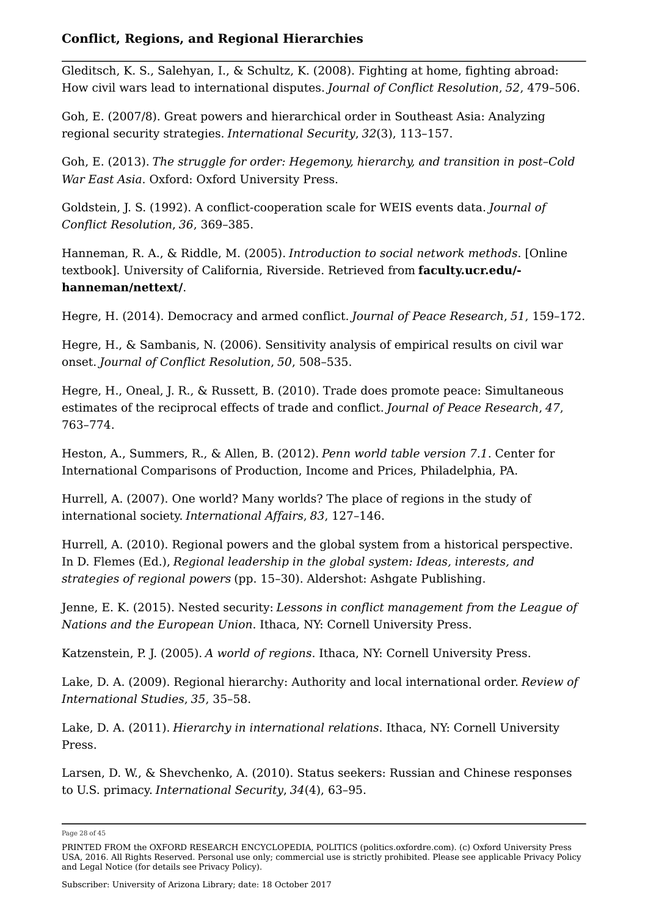Gleditsch, K. S., Salehyan, I., & Schultz, K. (2008). Fighting at home, fighting abroad: How civil wars lead to international disputes. *Journal of Conflict Resolution*, *52*, 479–506.

Goh, E. (2007/8). Great powers and hierarchical order in Southeast Asia: Analyzing regional security strategies. *International Security*, *32*(3), 113–157.

Goh, E. (2013). *The struggle for order: Hegemony, hierarchy, and transition in post–Cold War East Asia*. Oxford: Oxford University Press.

Goldstein, J. S. (1992). A conflict-cooperation scale for WEIS events data. *Journal of Conflict Resolution*, *36*, 369–385.

Hanneman, R. A., & Riddle, M. (2005). *Introduction to social network methods*. [Online textbook]. University of California, Riverside. Retrieved from **faculty.ucr.edu/ hanneman/nettext/**.

Hegre, H. (2014). Democracy and armed conflict. *Journal of Peace Research*, *51*, 159–172.

Hegre, H., & Sambanis, N. (2006). Sensitivity analysis of empirical results on civil war onset. *Journal of Conflict Resolution*, *50*, 508–535.

Hegre, H., Oneal, J. R., & Russett, B. (2010). Trade does promote peace: Simultaneous estimates of the reciprocal effects of trade and conflict. *Journal of Peace Research*, *47*, 763–774.

Heston, A., Summers, R., & Allen, B. (2012). *Penn world table version 7.1*. Center for International Comparisons of Production, Income and Prices, Philadelphia, PA.

Hurrell, A. (2007). One world? Many worlds? The place of regions in the study of international society. *International Affairs*, *83*, 127–146.

Hurrell, A. (2010). Regional powers and the global system from a historical perspective. In D. Flemes (Ed.), *Regional leadership in the global system: Ideas, interests, and strategies of regional powers* (pp. 15–30). Aldershot: Ashgate Publishing.

Jenne, E. K. (2015). Nested security: *Lessons in conflict management from the League of Nations and the European Union*. Ithaca, NY: Cornell University Press.

Katzenstein, P. J. (2005). *A world of regions*. Ithaca, NY: Cornell University Press.

Lake, D. A. (2009). Regional hierarchy: Authority and local international order. *Review of International Studies*, *35*, 35–58.

Lake, D. A. (2011). *Hierarchy in international relations*. Ithaca, NY: Cornell University Press.

Larsen, D. W., & Shevchenko, A. (2010). Status seekers: Russian and Chinese responses to U.S. primacy. *International Security*, *34*(4), 63–95.

Page 28 of 45

PRINTED FROM the OXFORD RESEARCH ENCYCLOPEDIA, POLITICS (politics.oxfordre.com). (c) Oxford University Press USA, 2016. All Rights Reserved. Personal use only; commercial use is strictly prohibited. Please see applicable Privacy Policy and Legal Notice (for details see Privacy Policy).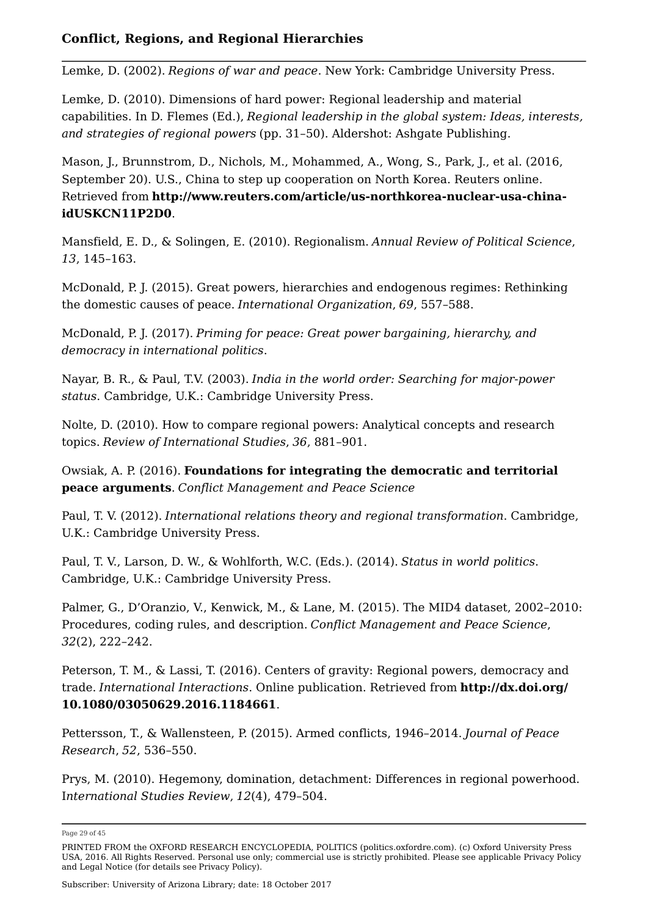Lemke, D. (2002). *Regions of war and peace*. New York: Cambridge University Press.

Lemke, D. (2010). Dimensions of hard power: Regional leadership and material capabilities. In D. Flemes (Ed.), *Regional leadership in the global system: Ideas, interests, and strategies of regional powers* (pp. 31–50). Aldershot: Ashgate Publishing.

Mason, J., Brunnstrom, D., Nichols, M., Mohammed, A., Wong, S., Park, J., et al. (2016, September 20). U.S., China to step up cooperation on North Korea. Reuters online. Retrieved from **http://www.reuters.com/article/us-northkorea-nuclear-usa-chinaidUSKCN11P2D0**.

Mansfield, E. D., & Solingen, E. (2010). Regionalism. *Annual Review of Political Science*, *13*, 145–163.

McDonald, P. J. (2015). Great powers, hierarchies and endogenous regimes: Rethinking the domestic causes of peace. *International Organization*, *69*, 557–588.

McDonald, P. J. (2017). *Priming for peace: Great power bargaining, hierarchy, and democracy in international politics*.

Nayar, B. R., & Paul, T.V. (2003). *India in the world order: Searching for major-power status*. Cambridge, U.K.: Cambridge University Press.

Nolte, D. (2010). How to compare regional powers: Analytical concepts and research topics. *Review of International Studies*, *36*, 881–901.

Owsiak, A. P. (2016). **Foundations for integrating the democratic and territorial peace arguments**. *Conflict Management and Peace Science*

Paul, T. V. (2012). *International relations theory and regional transformation*. Cambridge, U.K.: Cambridge University Press.

Paul, T. V., Larson, D. W., & Wohlforth, W.C. (Eds.). (2014). *Status in world politics*. Cambridge, U.K.: Cambridge University Press.

Palmer, G., D'Oranzio, V., Kenwick, M., & Lane, M. (2015). The MID4 dataset, 2002–2010: Procedures, coding rules, and description. *Conflict Management and Peace Science*, *32*(2), 222–242.

Peterson, T. M., & Lassi, T. (2016). Centers of gravity: Regional powers, democracy and trade. *International Interactions*. Online publication. Retrieved from **http://dx.doi.org/ 10.1080/03050629.2016.1184661**.

Pettersson, T., & Wallensteen, P. (2015). Armed conflicts, 1946–2014. *Journal of Peace Research*, *52*, 536–550.

Prys, M. (2010). Hegemony, domination, detachment: Differences in regional powerhood. I*nternational Studies Review*, *12*(4), 479–504.

Page 29 of 45

Subscriber: University of Arizona Library; date: 18 October 2017

PRINTED FROM the OXFORD RESEARCH ENCYCLOPEDIA, POLITICS (politics.oxfordre.com). (c) Oxford University Press USA, 2016. All Rights Reserved. Personal use only; commercial use is strictly prohibited. Please see applicable Privacy Policy and Legal Notice (for details see Privacy Policy).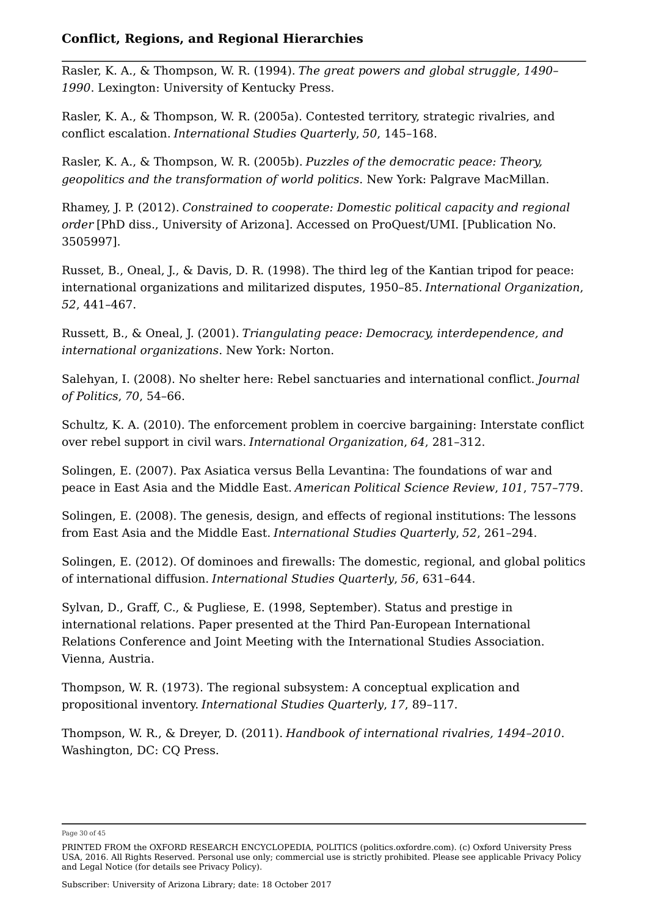Rasler, K. A., & Thompson, W. R. (1994). *The great powers and global struggle, 1490– 1990*. Lexington: University of Kentucky Press.

Rasler, K. A., & Thompson, W. R. (2005a). Contested territory, strategic rivalries, and conflict escalation. *International Studies Quarterly*, *50*, 145–168.

Rasler, K. A., & Thompson, W. R. (2005b). *Puzzles of the democratic peace: Theory, geopolitics and the transformation of world politics*. New York: Palgrave MacMillan.

Rhamey, J. P. (2012). *Constrained to cooperate: Domestic political capacity and regional order* [PhD diss., University of Arizona]. Accessed on ProQuest/UMI. [Publication No. 3505997].

Russet, B., Oneal, J., & Davis, D. R. (1998). The third leg of the Kantian tripod for peace: international organizations and militarized disputes, 1950–85. *International Organization*, *52*, 441–467.

Russett, B., & Oneal, J. (2001). *Triangulating peace: Democracy, interdependence, and international organizations*. New York: Norton.

Salehyan, I. (2008). No shelter here: Rebel sanctuaries and international conflict. *Journal of Politics*, *70*, 54–66.

Schultz, K. A. (2010). The enforcement problem in coercive bargaining: Interstate conflict over rebel support in civil wars. *International Organization*, *64*, 281–312.

Solingen, E. (2007). Pax Asiatica versus Bella Levantina: The foundations of war and peace in East Asia and the Middle East. *American Political Science Review*, *101*, 757–779.

Solingen, E. (2008). The genesis, design, and effects of regional institutions: The lessons from East Asia and the Middle East. *International Studies Quarterly*, *52*, 261–294.

Solingen, E. (2012). Of dominoes and firewalls: The domestic, regional, and global politics of international diffusion. *International Studies Quarterly*, *56*, 631–644.

Sylvan, D., Graff, C., & Pugliese, E. (1998, September). Status and prestige in international relations. Paper presented at the Third Pan-European International Relations Conference and Joint Meeting with the International Studies Association. Vienna, Austria.

Thompson, W. R. (1973). The regional subsystem: A conceptual explication and propositional inventory. *International Studies Quarterly*, *17*, 89–117.

Thompson, W. R., & Dreyer, D. (2011). *Handbook of international rivalries, 1494–2010*. Washington, DC: CQ Press.

Page 30 of 45

PRINTED FROM the OXFORD RESEARCH ENCYCLOPEDIA, POLITICS (politics.oxfordre.com). (c) Oxford University Press USA, 2016. All Rights Reserved. Personal use only; commercial use is strictly prohibited. Please see applicable Privacy Policy and Legal Notice (for details see Privacy Policy).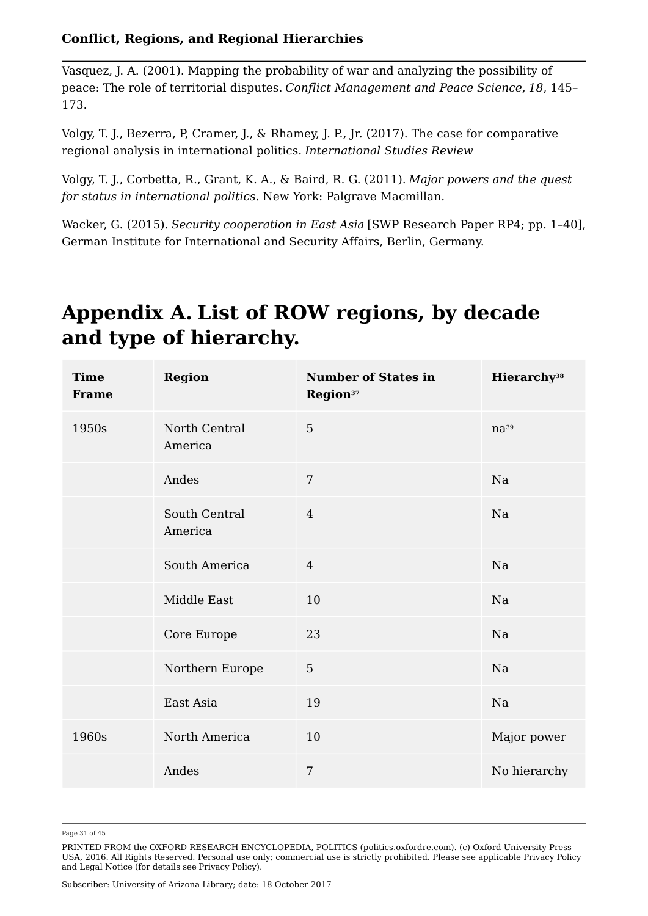Vasquez, J. A. (2001). Mapping the probability of war and analyzing the possibility of peace: The role of territorial disputes. *Conflict Management and Peace Science*, *18*, 145– 173.

Volgy, T. J., Bezerra, P, Cramer, J., & Rhamey, J. P., Jr. (2017). The case for comparative regional analysis in international politics. *International Studies Review*

Volgy, T. J., Corbetta, R., Grant, K. A., & Baird, R. G. (2011). *Major powers and the quest for status in international politics*. New York: Palgrave Macmillan.

Wacker, G. (2015). *Security cooperation in East Asia* [SWP Research Paper RP4; pp. 1–40], German Institute for International and Security Affairs, Berlin, Germany.

# **Appendix A. List of ROW regions, by decade and type of hierarchy.**

| <b>Time</b><br><b>Frame</b> | <b>Region</b>            | <b>Number of States in</b><br>Region <sup>37</sup> | Hierarchy <sup>38</sup> |
|-----------------------------|--------------------------|----------------------------------------------------|-------------------------|
| 1950s                       | North Central<br>America | 5                                                  | $na^{39}$               |
|                             | Andes                    | $\overline{7}$                                     | Na                      |
|                             | South Central<br>America | $\overline{4}$                                     | Na                      |
|                             | South America            | $\overline{4}$                                     | Na                      |
|                             | Middle East              | 10                                                 | Na                      |
|                             | Core Europe              | 23                                                 | Na                      |
|                             | Northern Europe          | $\overline{5}$                                     | Na                      |
|                             | East Asia                | 19                                                 | Na                      |
| 1960s                       | North America            | 10                                                 | Major power             |
|                             | Andes                    | $\overline{7}$                                     | No hierarchy            |

Page 31 of 45

PRINTED FROM the OXFORD RESEARCH ENCYCLOPEDIA, POLITICS (politics.oxfordre.com). (c) Oxford University Press USA, 2016. All Rights Reserved. Personal use only; commercial use is strictly prohibited. Please see applicable Privacy Policy and Legal Notice (for details see Privacy Policy).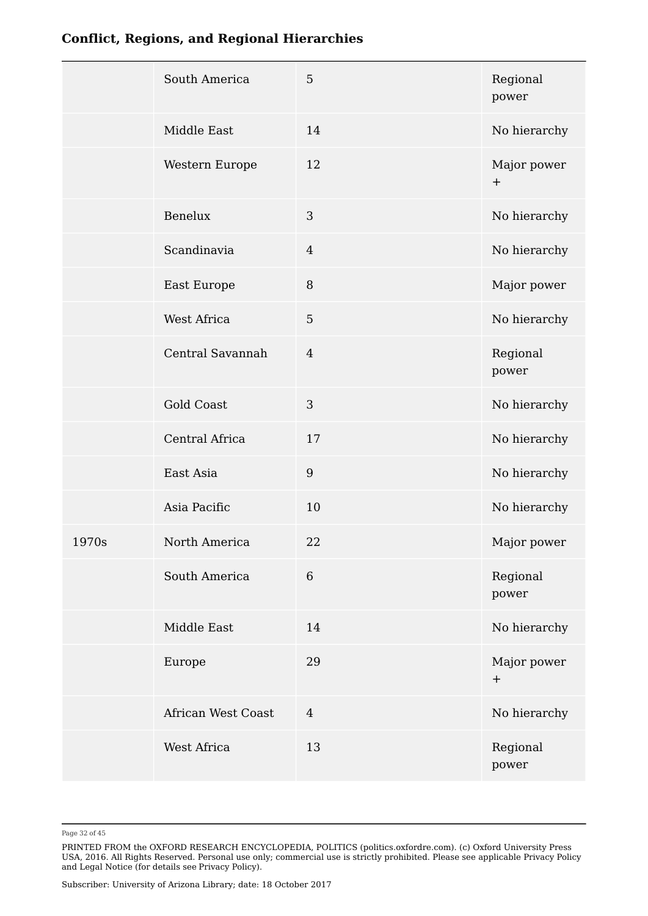| <b>Conflict, Regions, and Regional Hierarchies</b> |  |
|----------------------------------------------------|--|
|----------------------------------------------------|--|

|       | South America      | 5              | Regional<br>power  |
|-------|--------------------|----------------|--------------------|
|       | Middle East        | 14             | No hierarchy       |
|       | Western Europe     | 12             | Major power<br>$+$ |
|       | Benelux            | 3              | No hierarchy       |
|       | Scandinavia        | $\overline{4}$ | No hierarchy       |
|       | East Europe        | $\, 8$         | Major power        |
|       | West Africa        | $\overline{5}$ | No hierarchy       |
|       | Central Savannah   | $\overline{4}$ | Regional<br>power  |
|       | <b>Gold Coast</b>  | 3              | No hierarchy       |
|       | Central Africa     | 17             | No hierarchy       |
|       | East Asia          | $9\,$          | No hierarchy       |
|       | Asia Pacific       | 10             | No hierarchy       |
| 1970s | North America      | 22             | Major power        |
|       | South America      | $\,6\,$        | Regional<br>power  |
|       | Middle East        | 14             | No hierarchy       |
|       | Europe             | 29             | Major power<br>$+$ |
|       | African West Coast | $\overline{4}$ | No hierarchy       |
|       | West Africa        | 13             | Regional<br>power  |
|       |                    |                |                    |

Page 32 of 45

PRINTED FROM the OXFORD RESEARCH ENCYCLOPEDIA, POLITICS (politics.oxfordre.com). (c) Oxford University Press USA, 2016. All Rights Reserved. Personal use only; commercial use is strictly prohibited. Please see applicable Privacy Policy and Legal Notice (for details see Privacy Policy).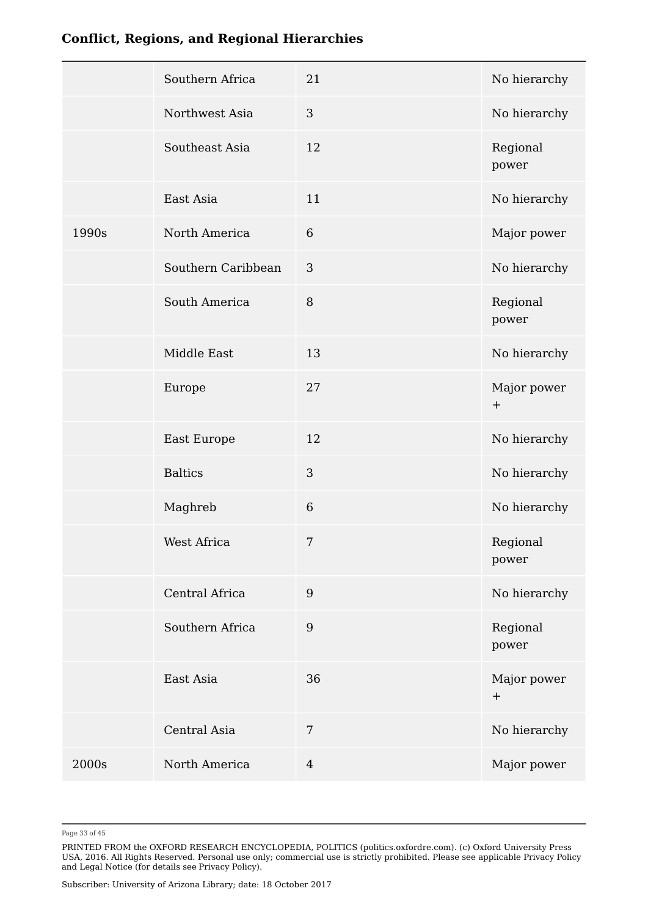|       | Southern Africa    | 21               | No hierarchy                    |
|-------|--------------------|------------------|---------------------------------|
|       | Northwest Asia     | 3                | No hierarchy                    |
|       | Southeast Asia     | 12               | Regional<br>power               |
|       | East Asia          | 11               | No hierarchy                    |
| 1990s | North America      | $\,6\,$          | Major power                     |
|       | Southern Caribbean | $\mathbf{3}$     | No hierarchy                    |
|       | South America      | $\, 8$           | Regional<br>power               |
|       | Middle East        | 13               | No hierarchy                    |
|       | Europe             | 27               | Major power<br>$\boldsymbol{+}$ |
|       | East Europe        | 12               | No hierarchy                    |
|       | <b>Baltics</b>     | $\mathfrak{Z}$   | No hierarchy                    |
|       | Maghreb            | $\sqrt{6}$       | No hierarchy                    |
|       | West Africa        | $\sqrt{ }$       | Regional<br>power               |
|       | Central Africa     | $\boldsymbol{9}$ | No hierarchy                    |
|       | Southern Africa    | $9\,$            | Regional<br>power               |
|       | East Asia          | 36               | Major power<br>$+$              |
|       | Central Asia       | $\overline{7}$   | No hierarchy                    |
| 2000s | North America      | $\overline{4}$   | Major power                     |
|       |                    |                  |                                 |

Page 33 of 45

PRINTED FROM the OXFORD RESEARCH ENCYCLOPEDIA, POLITICS (politics.oxfordre.com). (c) Oxford University Press USA, 2016. All Rights Reserved. Personal use only; commercial use is strictly prohibited. Please see applicable Privacy Policy and Legal Notice (for details see Privacy Policy).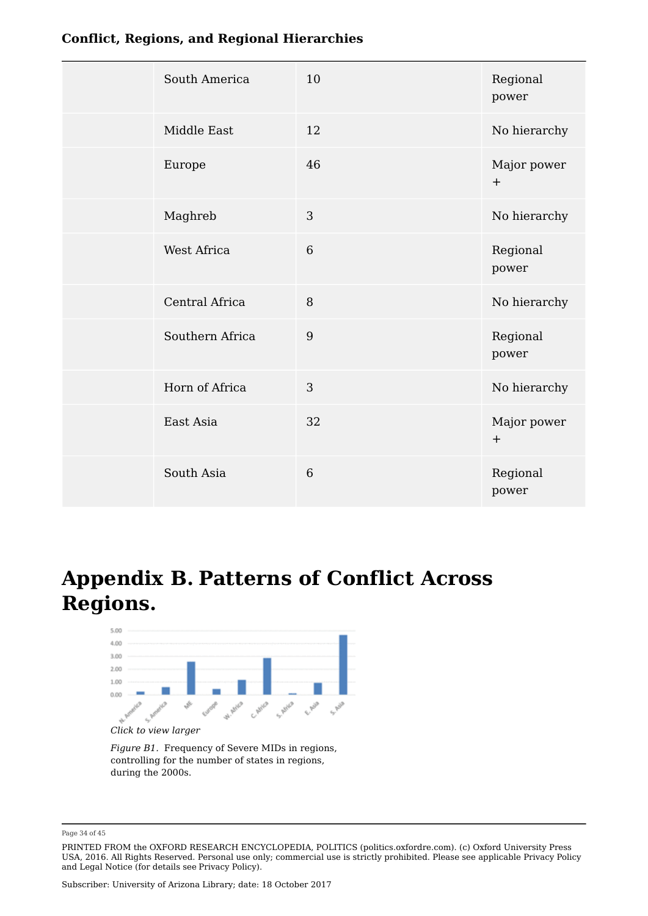| South America   | 10             | Regional<br>power               |
|-----------------|----------------|---------------------------------|
| Middle East     | 12             | No hierarchy                    |
| Europe          | 46             | Major power<br>$\boldsymbol{+}$ |
| Maghreb         | $\overline{3}$ | No hierarchy                    |
| West Africa     | 6              | Regional<br>power               |
| Central Africa  | $\, 8$         | No hierarchy                    |
| Southern Africa | 9              | Regional<br>power               |
| Horn of Africa  | 3              | No hierarchy                    |
| East Asia       | 32             | Major power<br>$\pm$            |
| South Asia      | 6              | Regional<br>power               |

# **Appendix B. Patterns of Conflict Across Regions.**



*Click to view larger*

*Figure B1.* Frequency of Severe MIDs in regions, controlling for the number of states in regions, during the 2000s.

Page 34 of 45

PRINTED FROM the OXFORD RESEARCH ENCYCLOPEDIA, POLITICS (politics.oxfordre.com). (c) Oxford University Press USA, 2016. All Rights Reserved. Personal use only; commercial use is strictly prohibited. Please see applicable Privacy Policy and Legal Notice (for details see Privacy Policy).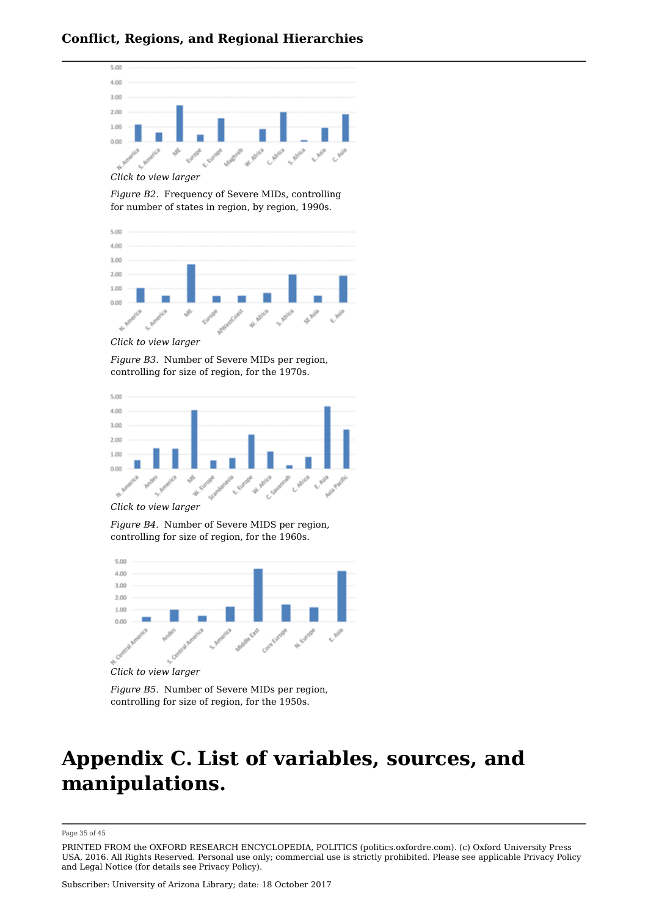

*Click to view larger*

*Figure B2.* Frequency of Severe MIDs, controlling for number of states in region, by region, 1990s.



*Click to view larger*

*Figure B3.* Number of Severe MIDs per region, controlling for size of region, for the 1970s.



*Click to view larger*

*Figure B4.* Number of Severe MIDS per region, controlling for size of region, for the 1960s.



*Click to view larger*

*Figure B5.* Number of Severe MIDs per region, controlling for size of region, for the 1950s.

## **Appendix C. List of variables, sources, and manipulations.**

Page 35 of 45

PRINTED FROM the OXFORD RESEARCH ENCYCLOPEDIA, POLITICS (politics.oxfordre.com). (c) Oxford University Press USA, 2016. All Rights Reserved. Personal use only; commercial use is strictly prohibited. Please see applicable Privacy Policy and Legal Notice (for details see Privacy Policy).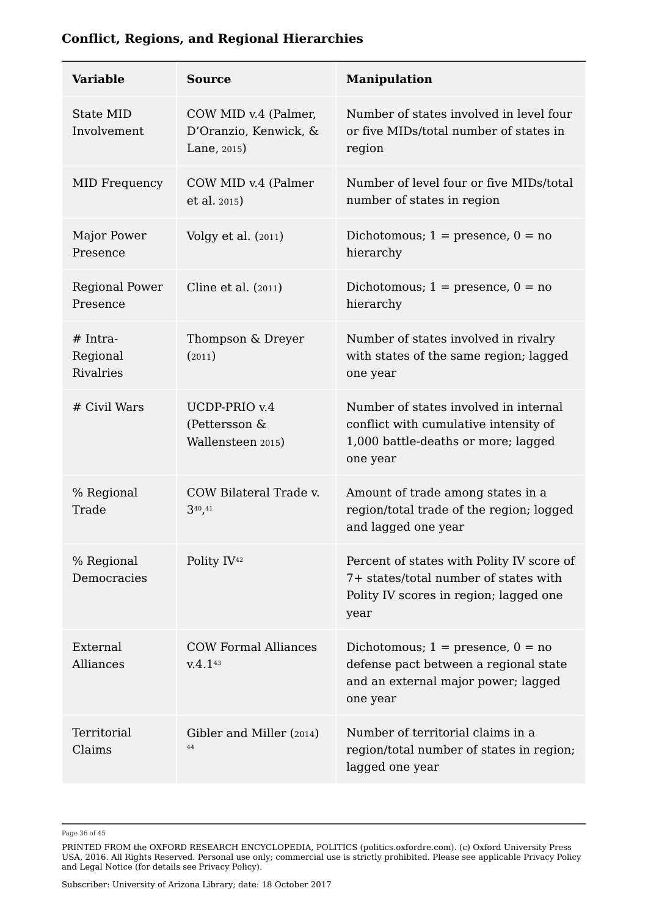| <b>Variable</b>                     | <b>Source</b>                                                   | <b>Manipulation</b>                                                                                                                  |
|-------------------------------------|-----------------------------------------------------------------|--------------------------------------------------------------------------------------------------------------------------------------|
| State MID<br>Involvement            | COW MID v.4 (Palmer,<br>D'Oranzio, Kenwick, &<br>Lane, $2015$ ) | Number of states involved in level four<br>or five MIDs/total number of states in<br>region                                          |
| <b>MID Frequency</b>                | COW MID v.4 (Palmer<br>et al. 2015)                             | Number of level four or five MIDs/total<br>number of states in region                                                                |
| Major Power<br>Presence             | Volgy et al. $(2011)$                                           | Dichotomous; $1 =$ presence, $0 =$ no<br>hierarchy                                                                                   |
| <b>Regional Power</b><br>Presence   | Cline et al. (2011)                                             | Dichotomous; $1 =$ presence, $0 =$ no<br>hierarchy                                                                                   |
| $# Intra-$<br>Regional<br>Rivalries | Thompson & Dreyer<br>(2011)                                     | Number of states involved in rivalry<br>with states of the same region; lagged<br>one year                                           |
| # Civil Wars                        | UCDP-PRIO v.4<br>(Pettersson &<br>Wallensteen 2015)             | Number of states involved in internal<br>conflict with cumulative intensity of<br>1,000 battle-deaths or more; lagged<br>one year    |
| % Regional<br>Trade                 | COW Bilateral Trade v.<br>340,41                                | Amount of trade among states in a<br>region/total trade of the region; logged<br>and lagged one year                                 |
| % Regional<br>Democracies           | Polity IV <sup>42</sup>                                         | Percent of states with Polity IV score of<br>7+ states/total number of states with<br>Polity IV scores in region; lagged one<br>year |
| External<br>Alliances               | <b>COW Formal Alliances</b><br>V.4.143                          | Dichotomous; $1 =$ presence, $0 =$ no<br>defense pact between a regional state<br>and an external major power; lagged<br>one year    |
| Territorial<br>Claims               | Gibler and Miller (2014)<br>44                                  | Number of territorial claims in a<br>region/total number of states in region;<br>lagged one year                                     |

Page 36 of 45

PRINTED FROM the OXFORD RESEARCH ENCYCLOPEDIA, POLITICS (politics.oxfordre.com). (c) Oxford University Press USA, 2016. All Rights Reserved. Personal use only; commercial use is strictly prohibited. Please see applicable Privacy Policy and Legal Notice (for details see Privacy Policy).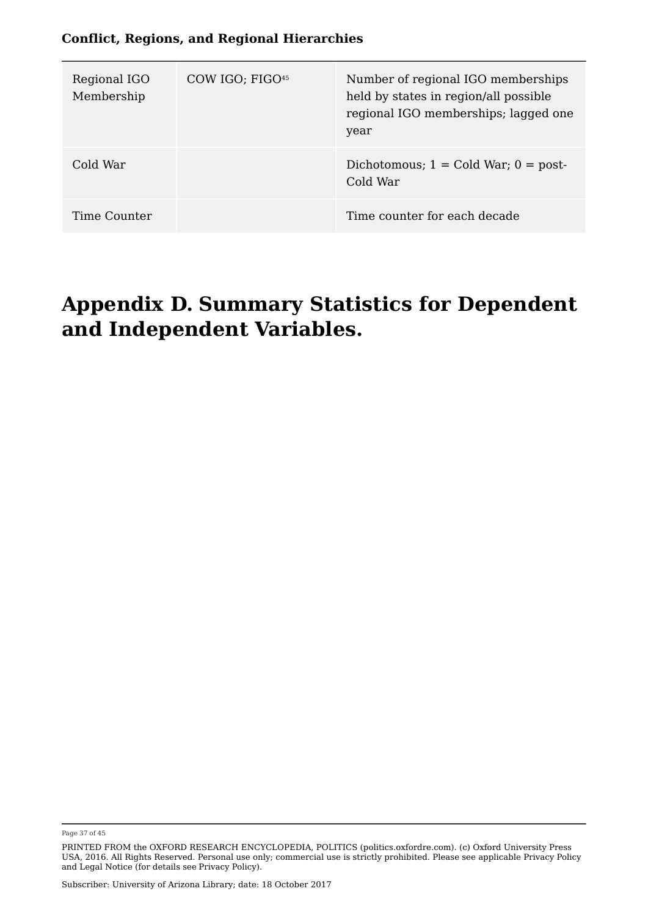| Regional IGO<br>Membership | COW IGO; FIGO <sup>45</sup> | Number of regional IGO memberships<br>held by states in region/all possible<br>regional IGO memberships; lagged one<br>year |  |
|----------------------------|-----------------------------|-----------------------------------------------------------------------------------------------------------------------------|--|
| Cold War                   |                             | Dichotomous; $1 =$ Cold War; $0 =$ post-<br>Cold War                                                                        |  |
| Time Counter               |                             | Time counter for each decade                                                                                                |  |

### **Appendix D. Summary Statistics for Dependent and Independent Variables.**

Page 37 of 45

PRINTED FROM the OXFORD RESEARCH ENCYCLOPEDIA, POLITICS (politics.oxfordre.com). (c) Oxford University Press USA, 2016. All Rights Reserved. Personal use only; commercial use is strictly prohibited. Please see applicable Privacy Policy and Legal Notice (for details see Privacy Policy).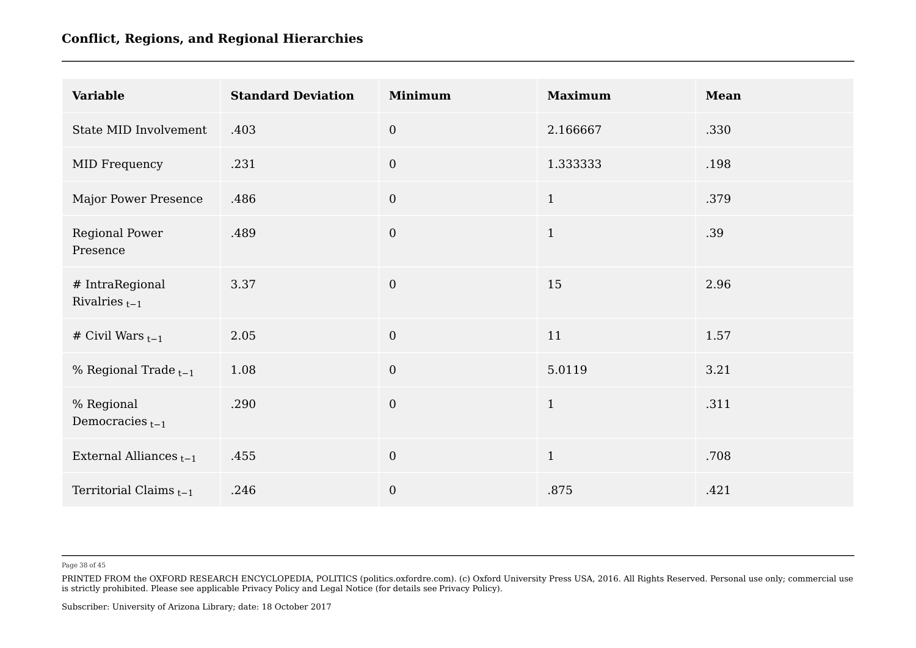| <b>Variable</b>                       | <b>Standard Deviation</b> | <b>Minimum</b> | <b>Maximum</b> | <b>Mean</b> |
|---------------------------------------|---------------------------|----------------|----------------|-------------|
| State MID Involvement                 | .403                      | $\overline{0}$ | 2.166667       | .330        |
| MID Frequency                         | .231                      | $\overline{0}$ | 1.333333       | .198        |
| Major Power Presence                  | .486                      | $\overline{0}$ | $\mathbf{1}$   | .379        |
| Regional Power<br>Presence            | .489                      | $\overline{0}$ | $\mathbf{1}$   | .39         |
| # IntraRegional<br>Rivalries $_{t-1}$ | 3.37                      | $\mathbf{0}$   | 15             | 2.96        |
| # Civil Wars $_{t-1}$                 | 2.05                      | $\mathbf{0}$   | 11             | 1.57        |
| % Regional Trade $_{t-1}$             | 1.08                      | $\overline{0}$ | 5.0119         | 3.21        |
| % Regional<br>Democracies $_{t-1}$    | .290                      | $\overline{0}$ | $\mathbf{1}$   | .311        |
| External Alliances $_{t-1}$           | .455                      | $\mathbf{0}$   | $1\,$          | .708        |
| Territorial Claims $_{t-1}$           | .246                      | $\mathbf{0}$   | .875           | .421        |

Page 38 of 45

PRINTED FROM the OXFORD RESEARCH ENCYCLOPEDIA, POLITICS (politics.oxfordre.com). (c) Oxford University Press USA, 2016. All Rights Reserved. Personal use only; commercial use is strictly prohibited. Please see applicable Privacy Policy and Legal Notice (for details see Privacy Policy).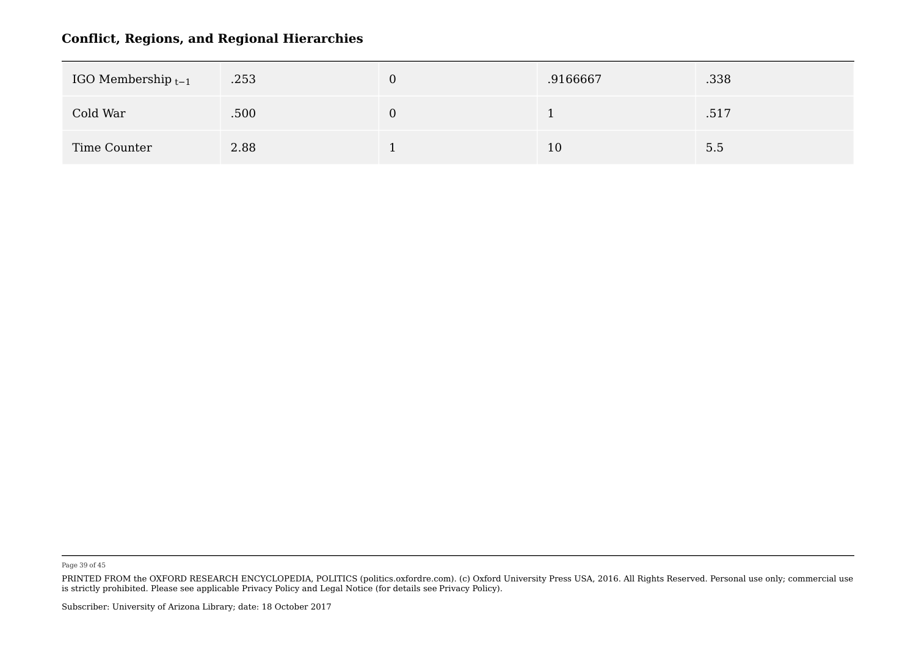| IGO Membership $t-1$ | .253 | .9166667 | .338 |  |
|----------------------|------|----------|------|--|
| Cold War             | .500 |          | .517 |  |
| Time Counter         | 2.88 | 10       | 5.5  |  |

Page 39 of 45

PRINTED FROM the OXFORD RESEARCH ENCYCLOPEDIA, POLITICS (politics.oxfordre.com). (c) Oxford University Press USA, 2016. All Rights Reserved. Personal use only; commercial use is strictly prohibited. Please see applicable Privacy Policy and Legal Notice (for details see Privacy Policy).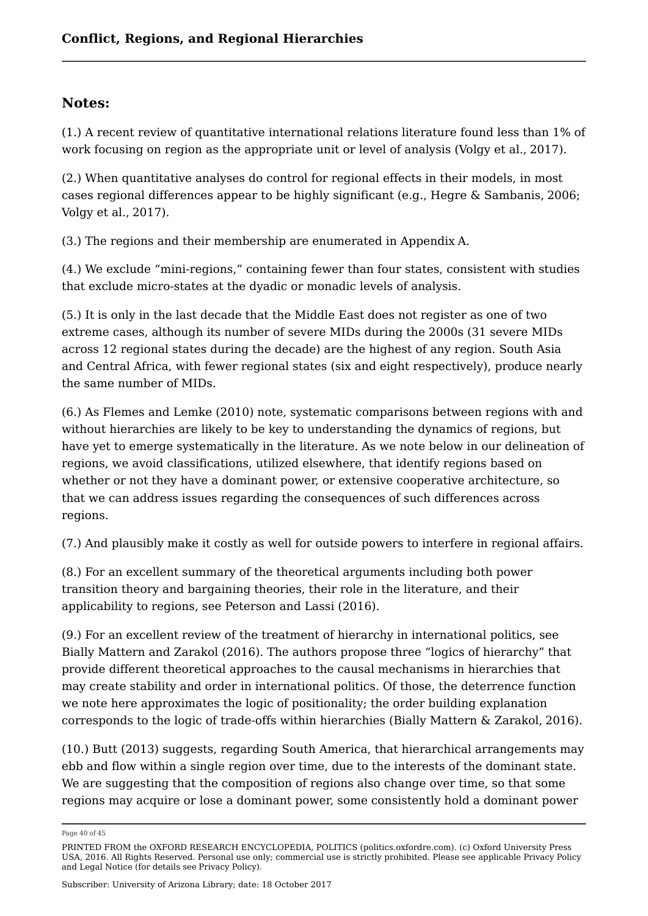#### **Notes:**

(1.) A recent review of quantitative international relations literature found less than 1% of work focusing on region as the appropriate unit or level of analysis (Volgy et al., 2017).

(2.) When quantitative analyses do control for regional effects in their models, in most cases regional differences appear to be highly significant (e.g., Hegre & Sambanis, 2006; Volgy et al., 2017).

(3.) The regions and their membership are enumerated in Appendix A.

(4.) We exclude "mini-regions," containing fewer than four states, consistent with studies that exclude micro-states at the dyadic or monadic levels of analysis.

(5.) It is only in the last decade that the Middle East does not register as one of two extreme cases, although its number of severe MIDs during the 2000s (31 severe MIDs across 12 regional states during the decade) are the highest of any region. South Asia and Central Africa, with fewer regional states (six and eight respectively), produce nearly the same number of MIDs.

(6.) As Flemes and Lemke (2010) note, systematic comparisons between regions with and without hierarchies are likely to be key to understanding the dynamics of regions, but have yet to emerge systematically in the literature. As we note below in our delineation of regions, we avoid classifications, utilized elsewhere, that identify regions based on whether or not they have a dominant power, or extensive cooperative architecture, so that we can address issues regarding the consequences of such differences across regions.

(7.) And plausibly make it costly as well for outside powers to interfere in regional affairs.

(8.) For an excellent summary of the theoretical arguments including both power transition theory and bargaining theories, their role in the literature, and their applicability to regions, see Peterson and Lassi (2016).

(9.) For an excellent review of the treatment of hierarchy in international politics, see Bially Mattern and Zarakol (2016). The authors propose three "logics of hierarchy" that provide different theoretical approaches to the causal mechanisms in hierarchies that may create stability and order in international politics. Of those, the deterrence function we note here approximates the logic of positionality; the order building explanation corresponds to the logic of trade-offs within hierarchies (Bially Mattern & Zarakol, 2016).

(10.) Butt (2013) suggests, regarding South America, that hierarchical arrangements may ebb and flow within a single region over time, due to the interests of the dominant state. We are suggesting that the composition of regions also change over time, so that some regions may acquire or lose a dominant power, some consistently hold a dominant power

Page 40 of 45

PRINTED FROM the OXFORD RESEARCH ENCYCLOPEDIA, POLITICS (politics.oxfordre.com). (c) Oxford University Press USA, 2016. All Rights Reserved. Personal use only; commercial use is strictly prohibited. Please see applicable Privacy Policy and Legal Notice (for details see Privacy Policy).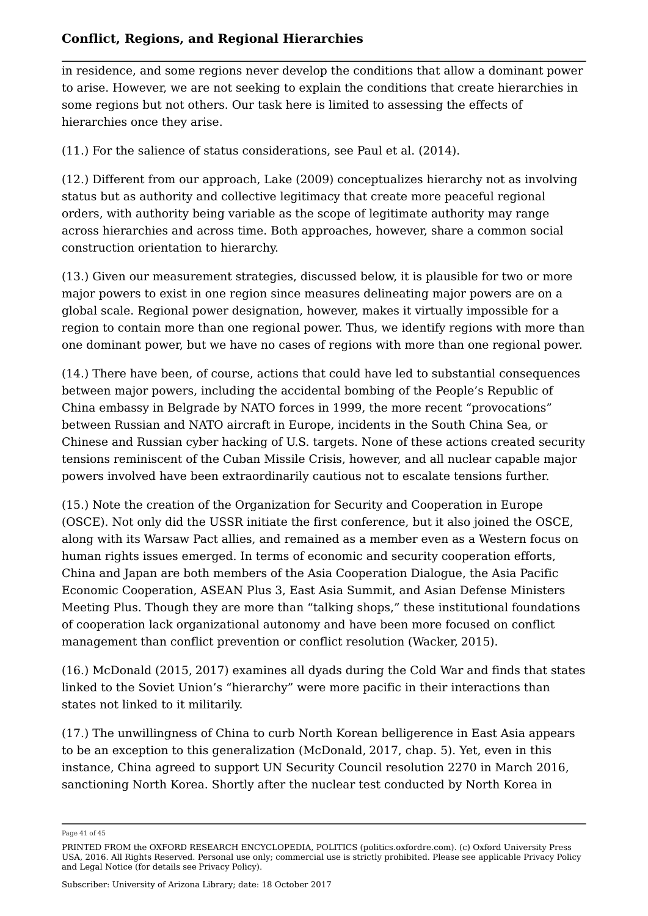in residence, and some regions never develop the conditions that allow a dominant power to arise. However, we are not seeking to explain the conditions that create hierarchies in some regions but not others. Our task here is limited to assessing the effects of hierarchies once they arise.

(11.) For the salience of status considerations, see Paul et al. (2014).

(12.) Different from our approach, Lake (2009) conceptualizes hierarchy not as involving status but as authority and collective legitimacy that create more peaceful regional orders, with authority being variable as the scope of legitimate authority may range across hierarchies and across time. Both approaches, however, share a common social construction orientation to hierarchy.

(13.) Given our measurement strategies, discussed below, it is plausible for two or more major powers to exist in one region since measures delineating major powers are on a global scale. Regional power designation, however, makes it virtually impossible for a region to contain more than one regional power. Thus, we identify regions with more than one dominant power, but we have no cases of regions with more than one regional power.

(14.) There have been, of course, actions that could have led to substantial consequences between major powers, including the accidental bombing of the People's Republic of China embassy in Belgrade by NATO forces in 1999, the more recent "provocations" between Russian and NATO aircraft in Europe, incidents in the South China Sea, or Chinese and Russian cyber hacking of U.S. targets. None of these actions created security tensions reminiscent of the Cuban Missile Crisis, however, and all nuclear capable major powers involved have been extraordinarily cautious not to escalate tensions further.

(15.) Note the creation of the Organization for Security and Cooperation in Europe (OSCE). Not only did the USSR initiate the first conference, but it also joined the OSCE, along with its Warsaw Pact allies, and remained as a member even as a Western focus on human rights issues emerged. In terms of economic and security cooperation efforts, China and Japan are both members of the Asia Cooperation Dialogue, the Asia Pacific Economic Cooperation, ASEAN Plus 3, East Asia Summit, and Asian Defense Ministers Meeting Plus. Though they are more than "talking shops," these institutional foundations of cooperation lack organizational autonomy and have been more focused on conflict management than conflict prevention or conflict resolution (Wacker, 2015).

(16.) McDonald (2015, 2017) examines all dyads during the Cold War and finds that states linked to the Soviet Union's "hierarchy" were more pacific in their interactions than states not linked to it militarily.

(17.) The unwillingness of China to curb North Korean belligerence in East Asia appears to be an exception to this generalization (McDonald, 2017, chap. 5). Yet, even in this instance, China agreed to support UN Security Council resolution 2270 in March 2016, sanctioning North Korea. Shortly after the nuclear test conducted by North Korea in

Page 41 of 45

PRINTED FROM the OXFORD RESEARCH ENCYCLOPEDIA, POLITICS (politics.oxfordre.com). (c) Oxford University Press USA, 2016. All Rights Reserved. Personal use only; commercial use is strictly prohibited. Please see applicable Privacy Policy and Legal Notice (for details see Privacy Policy).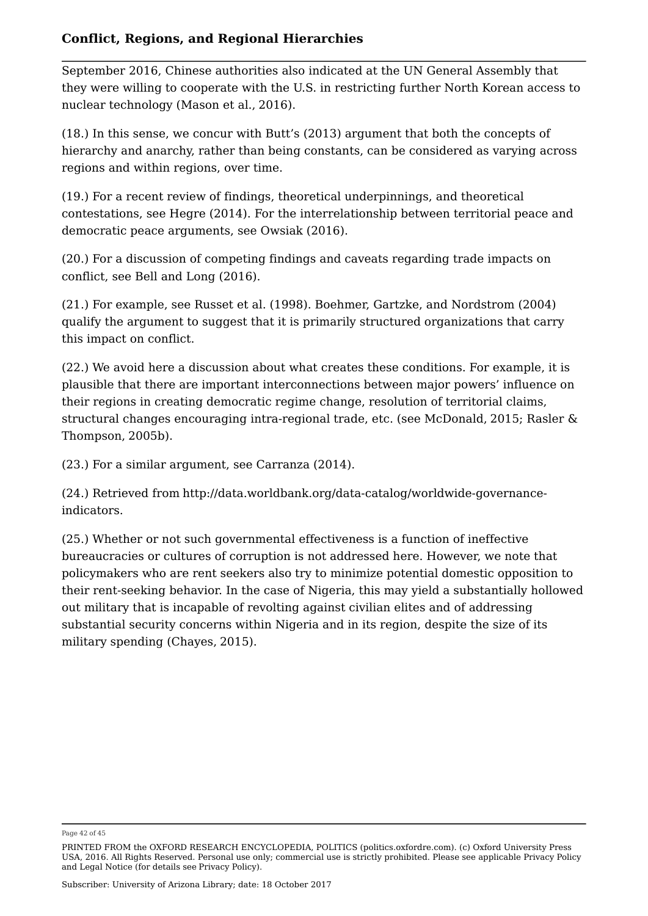September 2016, Chinese authorities also indicated at the UN General Assembly that they were willing to cooperate with the U.S. in restricting further North Korean access to nuclear technology (Mason et al., 2016).

(18.) In this sense, we concur with Butt's (2013) argument that both the concepts of hierarchy and anarchy, rather than being constants, can be considered as varying across regions and within regions, over time.

(19.) For a recent review of findings, theoretical underpinnings, and theoretical contestations, see Hegre (2014). For the interrelationship between territorial peace and democratic peace arguments, see Owsiak (2016).

(20.) For a discussion of competing findings and caveats regarding trade impacts on conflict, see Bell and Long (2016).

(21.) For example, see Russet et al. (1998). Boehmer, Gartzke, and Nordstrom (2004) qualify the argument to suggest that it is primarily structured organizations that carry this impact on conflict.

(22.) We avoid here a discussion about what creates these conditions. For example, it is plausible that there are important interconnections between major powers' influence on their regions in creating democratic regime change, resolution of territorial claims, structural changes encouraging intra-regional trade, etc. (see McDonald, 2015; Rasler & Thompson, 2005b).

(23.) For a similar argument, see Carranza (2014).

(24.) Retrieved from http://data.worldbank.org/data-catalog/worldwide-governanceindicators.

(25.) Whether or not such governmental effectiveness is a function of ineffective bureaucracies or cultures of corruption is not addressed here. However, we note that policymakers who are rent seekers also try to minimize potential domestic opposition to their rent-seeking behavior. In the case of Nigeria, this may yield a substantially hollowed out military that is incapable of revolting against civilian elites and of addressing substantial security concerns within Nigeria and in its region, despite the size of its military spending (Chayes, 2015).

Page 42 of 45

PRINTED FROM the OXFORD RESEARCH ENCYCLOPEDIA, POLITICS (politics.oxfordre.com). (c) Oxford University Press USA, 2016. All Rights Reserved. Personal use only; commercial use is strictly prohibited. Please see applicable Privacy Policy and Legal Notice (for details see Privacy Policy).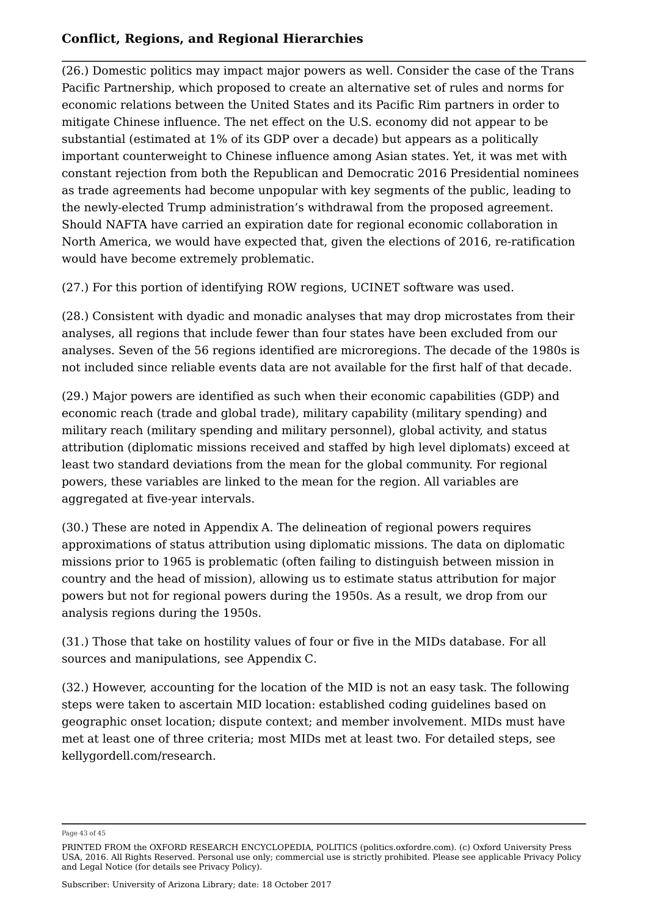(26.) Domestic politics may impact major powers as well. Consider the case of the Trans Pacific Partnership, which proposed to create an alternative set of rules and norms for economic relations between the United States and its Pacific Rim partners in order to mitigate Chinese influence. The net effect on the U.S. economy did not appear to be substantial (estimated at 1% of its GDP over a decade) but appears as a politically important counterweight to Chinese influence among Asian states. Yet, it was met with constant rejection from both the Republican and Democratic 2016 Presidential nominees as trade agreements had become unpopular with key segments of the public, leading to the newly-elected Trump administration's withdrawal from the proposed agreement. Should NAFTA have carried an expiration date for regional economic collaboration in North America, we would have expected that, given the elections of 2016, re-ratification would have become extremely problematic.

(27.) For this portion of identifying ROW regions, UCINET software was used.

(28.) Consistent with dyadic and monadic analyses that may drop microstates from their analyses, all regions that include fewer than four states have been excluded from our analyses. Seven of the 56 regions identified are microregions. The decade of the 1980s is not included since reliable events data are not available for the first half of that decade.

(29.) Major powers are identified as such when their economic capabilities (GDP) and economic reach (trade and global trade), military capability (military spending) and military reach (military spending and military personnel), global activity, and status attribution (diplomatic missions received and staffed by high level diplomats) exceed at least two standard deviations from the mean for the global community. For regional powers, these variables are linked to the mean for the region. All variables are aggregated at five-year intervals.

(30.) These are noted in Appendix A. The delineation of regional powers requires approximations of status attribution using diplomatic missions. The data on diplomatic missions prior to 1965 is problematic (often failing to distinguish between mission in country and the head of mission), allowing us to estimate status attribution for major powers but not for regional powers during the 1950s. As a result, we drop from our analysis regions during the 1950s.

(31.) Those that take on hostility values of four or five in the MIDs database. For all sources and manipulations, see Appendix C.

(32.) However, accounting for the location of the MID is not an easy task. The following steps were taken to ascertain MID location: established coding guidelines based on geographic onset location; dispute context; and member involvement. MIDs must have met at least one of three criteria; most MIDs met at least two. For detailed steps, see kellygordell.com/research.

Page 43 of 45

PRINTED FROM the OXFORD RESEARCH ENCYCLOPEDIA, POLITICS (politics.oxfordre.com). (c) Oxford University Press USA, 2016. All Rights Reserved. Personal use only; commercial use is strictly prohibited. Please see applicable Privacy Policy and Legal Notice (for details see Privacy Policy).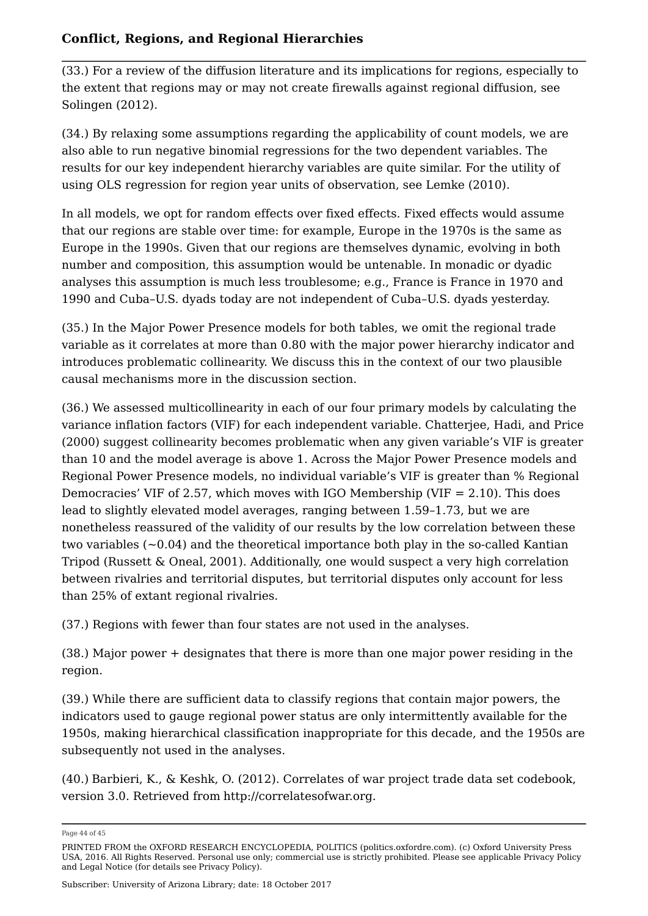(33.) For a review of the diffusion literature and its implications for regions, especially to the extent that regions may or may not create firewalls against regional diffusion, see Solingen (2012).

(34.) By relaxing some assumptions regarding the applicability of count models, we are also able to run negative binomial regressions for the two dependent variables. The results for our key independent hierarchy variables are quite similar. For the utility of using OLS regression for region year units of observation, see Lemke (2010).

In all models, we opt for random effects over fixed effects. Fixed effects would assume that our regions are stable over time: for example, Europe in the 1970s is the same as Europe in the 1990s. Given that our regions are themselves dynamic, evolving in both number and composition, this assumption would be untenable. In monadic or dyadic analyses this assumption is much less troublesome; e.g., France is France in 1970 and 1990 and Cuba–U.S. dyads today are not independent of Cuba–U.S. dyads yesterday.

(35.) In the Major Power Presence models for both tables, we omit the regional trade variable as it correlates at more than 0.80 with the major power hierarchy indicator and introduces problematic collinearity. We discuss this in the context of our two plausible causal mechanisms more in the discussion section.

(36.) We assessed multicollinearity in each of our four primary models by calculating the variance inflation factors (VIF) for each independent variable. Chatterjee, Hadi, and Price (2000) suggest collinearity becomes problematic when any given variable's VIF is greater than 10 and the model average is above 1. Across the Major Power Presence models and Regional Power Presence models, no individual variable's VIF is greater than % Regional Democracies' VIF of 2.57, which moves with IGO Membership (VIF  $= 2.10$ ). This does lead to slightly elevated model averages, ranging between 1.59–1.73, but we are nonetheless reassured of the validity of our results by the low correlation between these two variables  $(-0.04)$  and the theoretical importance both play in the so-called Kantian Tripod (Russett & Oneal, 2001). Additionally, one would suspect a very high correlation between rivalries and territorial disputes, but territorial disputes only account for less than 25% of extant regional rivalries.

(37.) Regions with fewer than four states are not used in the analyses.

(38.) Major power + designates that there is more than one major power residing in the region.

(39.) While there are sufficient data to classify regions that contain major powers, the indicators used to gauge regional power status are only intermittently available for the 1950s, making hierarchical classification inappropriate for this decade, and the 1950s are subsequently not used in the analyses.

(40.) Barbieri, K., & Keshk, O. (2012). Correlates of war project trade data set codebook, version 3.0. Retrieved from http://correlatesofwar.org.

Page 44 of 45

PRINTED FROM the OXFORD RESEARCH ENCYCLOPEDIA, POLITICS (politics.oxfordre.com). (c) Oxford University Press USA, 2016. All Rights Reserved. Personal use only; commercial use is strictly prohibited. Please see applicable Privacy Policy and Legal Notice (for details see Privacy Policy).